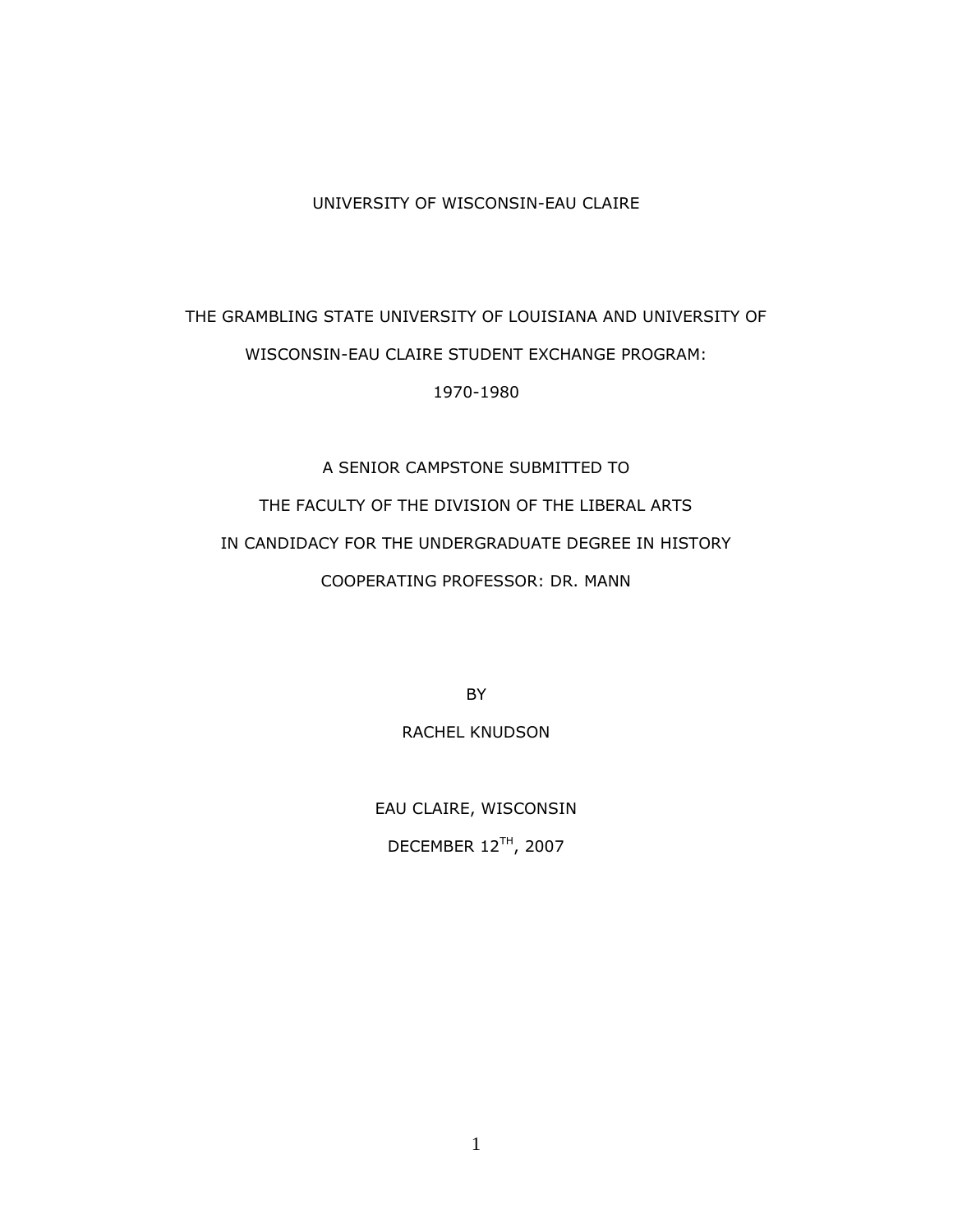#### UNIVERSITY OF WISCONSIN-EAU CLAIRE

## THE GRAMBLING STATE UNIVERSITY OF LOUISIANA AND UNIVERSITY OF WISCONSIN-EAU CLAIRE STUDENT EXCHANGE PROGRAM: 1970-1980

# A SENIOR CAMPSTONE SUBMITTED TO THE FACULTY OF THE DIVISION OF THE LIBERAL ARTS IN CANDIDACY FOR THE UNDERGRADUATE DEGREE IN HISTORY COOPERATING PROFESSOR: DR. MANN

BY

#### RACHEL KNUDSON

EAU CLAIRE, WISCONSIN DECEMBER 12TH, 2007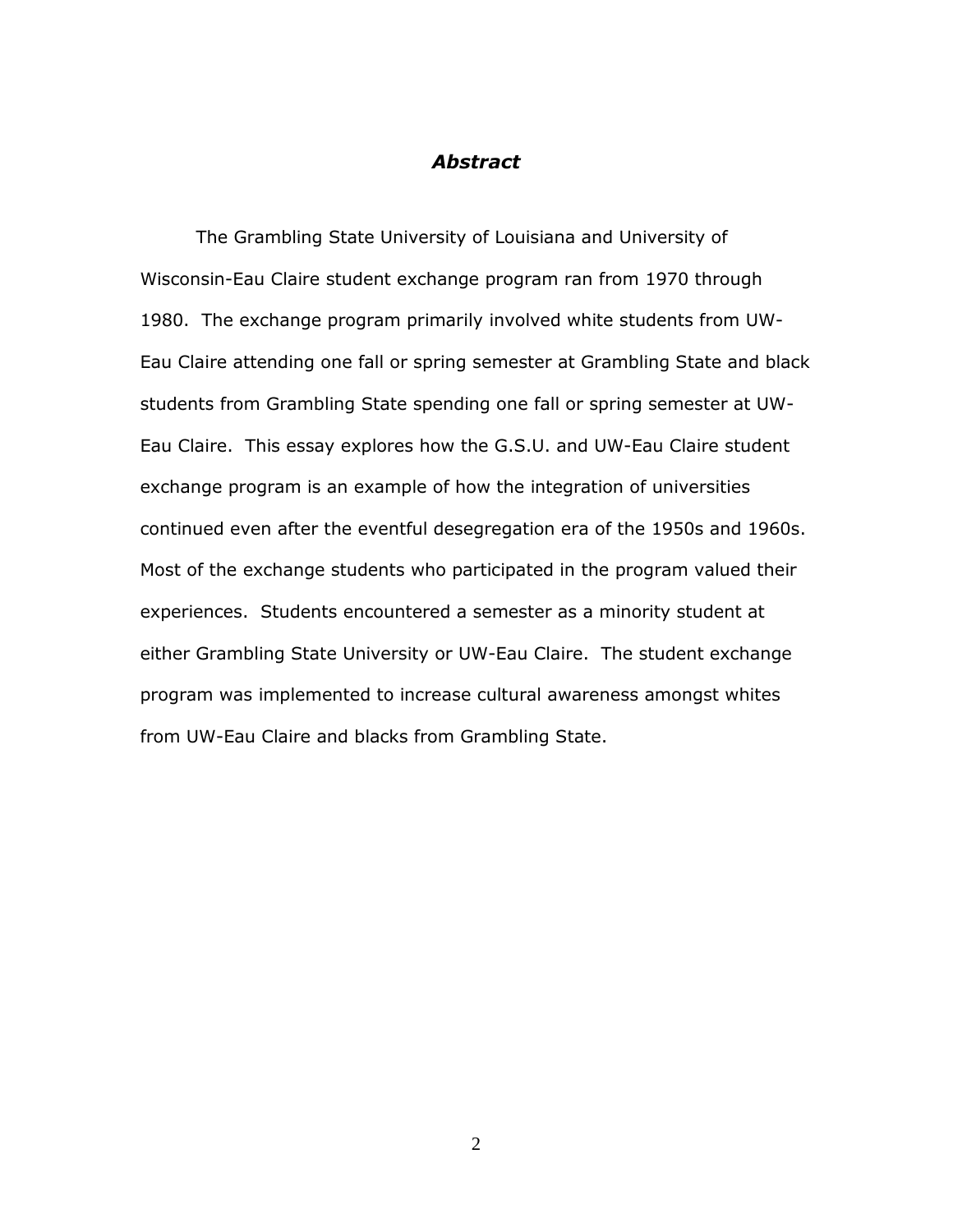### *Abstract*

The Grambling State University of Louisiana and University of Wisconsin-Eau Claire student exchange program ran from 1970 through 1980. The exchange program primarily involved white students from UW-Eau Claire attending one fall or spring semester at Grambling State and black students from Grambling State spending one fall or spring semester at UW-Eau Claire. This essay explores how the G.S.U. and UW-Eau Claire student exchange program is an example of how the integration of universities continued even after the eventful desegregation era of the 1950s and 1960s. Most of the exchange students who participated in the program valued their experiences. Students encountered a semester as a minority student at either Grambling State University or UW-Eau Claire. The student exchange program was implemented to increase cultural awareness amongst whites from UW-Eau Claire and blacks from Grambling State.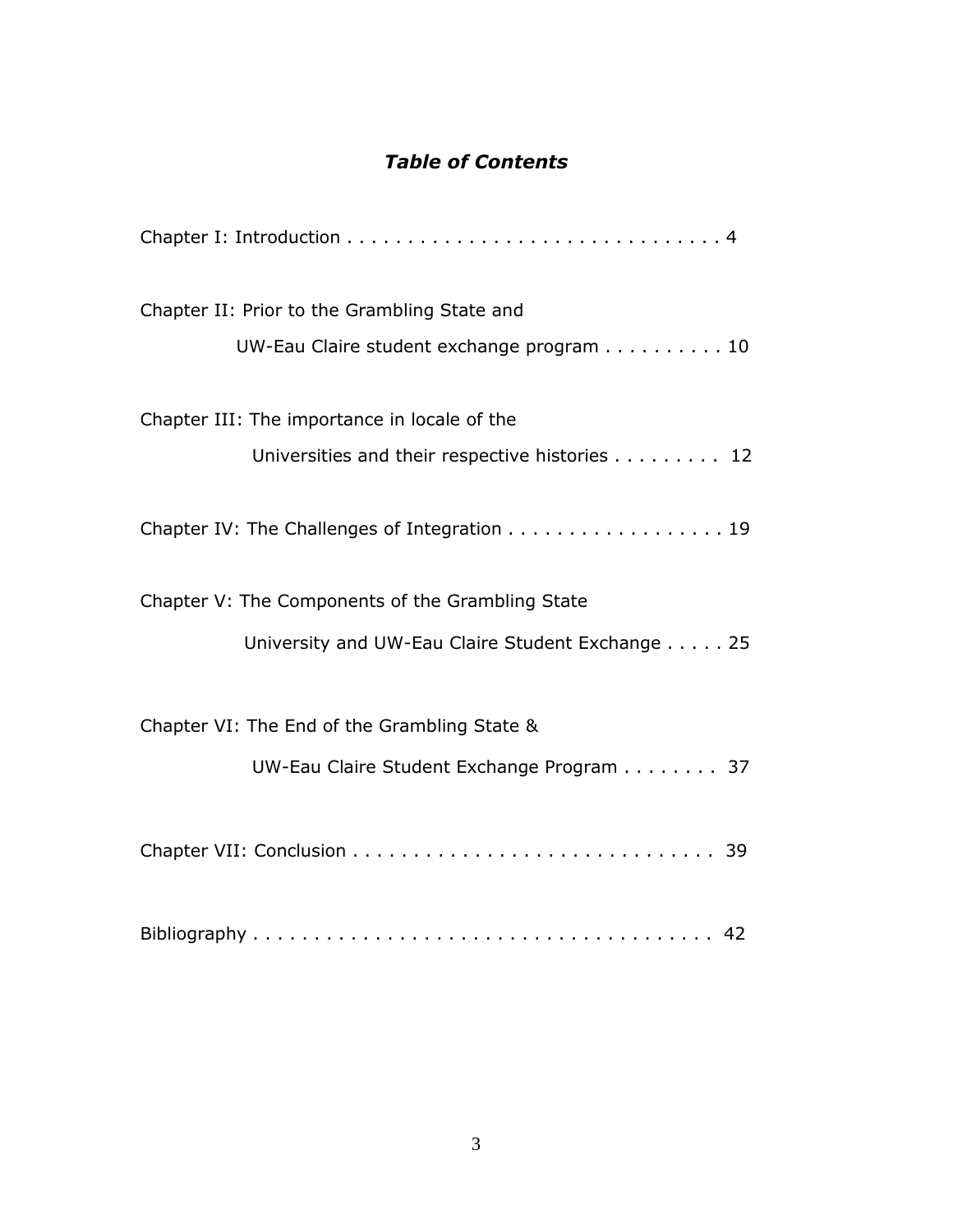## *Table of Contents*

| Chapter II: Prior to the Grambling State and<br>UW-Eau Claire student exchange program 10            |
|------------------------------------------------------------------------------------------------------|
| Chapter III: The importance in locale of the<br>Universities and their respective histories 12       |
| Chapter IV: The Challenges of Integration 19                                                         |
| Chapter V: The Components of the Grambling State<br>University and UW-Eau Claire Student Exchange 25 |
| Chapter VI: The End of the Grambling State &<br>UW-Eau Claire Student Exchange Program 37            |
|                                                                                                      |
|                                                                                                      |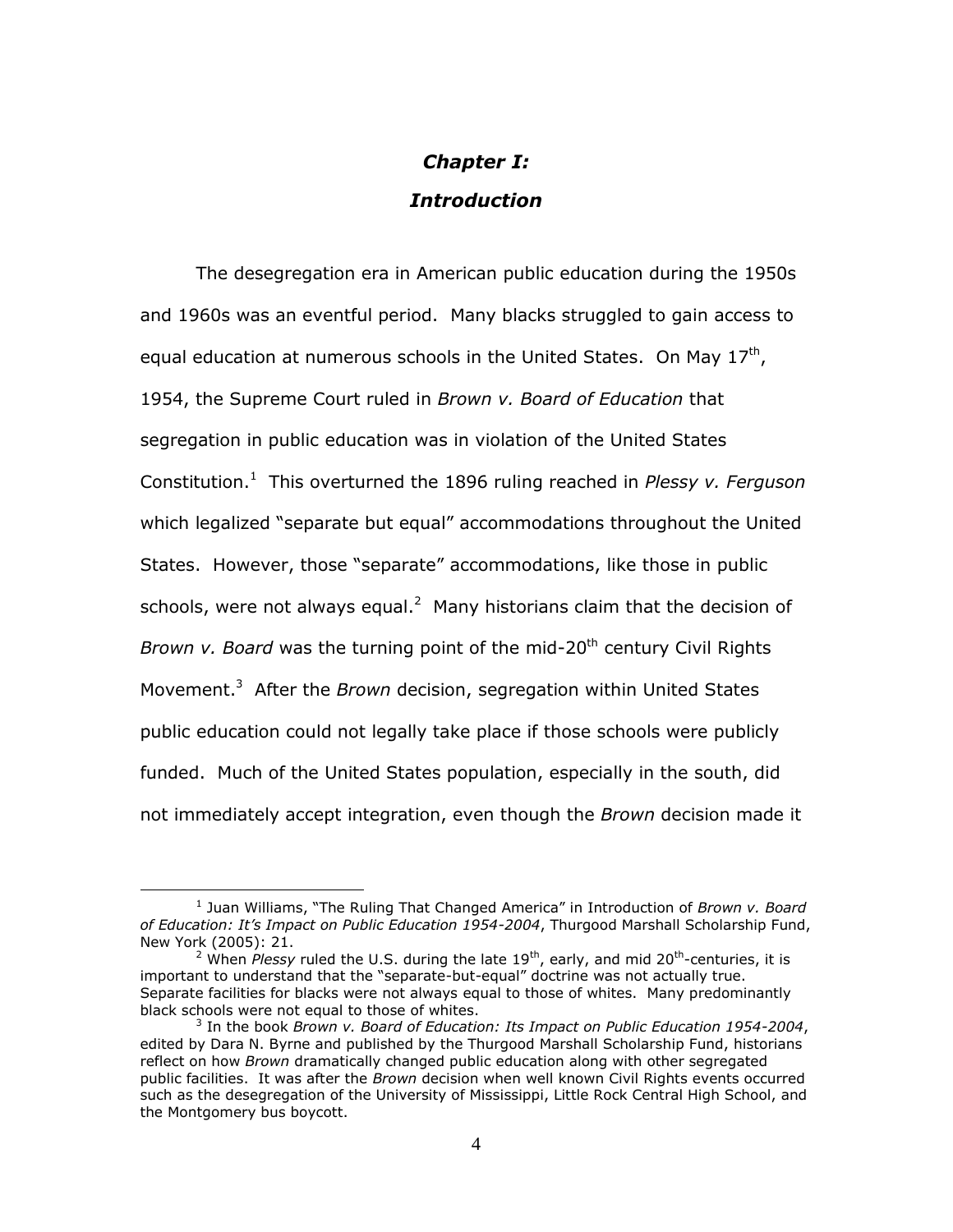## *Chapter I: Introduction*

The desegregation era in American public education during the 1950s and 1960s was an eventful period. Many blacks struggled to gain access to equal education at numerous schools in the United States. On May  $17<sup>th</sup>$ , 1954, the Supreme Court ruled in *Brown v. Board of Education* that segregation in public education was in violation of the United States Constitution.<sup>1</sup> This overturned the 1896 ruling reached in *Plessy v. Ferguson* which legalized "separate but equal" accommodations throughout the United States. However, those "separate" accommodations, like those in public schools, were not always equal.<sup>2</sup> Many historians claim that the decision of *Brown v. Board* was the turning point of the mid-20<sup>th</sup> century Civil Rights Movement.<sup>3</sup> After the *Brown* decision, segregation within United States public education could not legally take place if those schools were publicly funded. Much of the United States population, especially in the south, did not immediately accept integration, even though the *Brown* decision made it

<sup>1</sup> Juan Williams, "The Ruling That Changed America" in Introduction of *Brown v. Board of Education: It's Impact on Public Education 1954-2004*, Thurgood Marshall Scholarship Fund, New York (2005): 21.

<sup>&</sup>lt;sup>2</sup> When Plessy ruled the U.S. during the late 19<sup>th</sup>, early, and mid 20<sup>th</sup>-centuries, it is important to understand that the "separate-but-equal" doctrine was not actually true. Separate facilities for blacks were not always equal to those of whites. Many predominantly black schools were not equal to those of whites.

<sup>3</sup> In the book *Brown v. Board of Education: Its Impact on Public Education 1954-2004*, edited by Dara N. Byrne and published by the Thurgood Marshall Scholarship Fund, historians reflect on how *Brown* dramatically changed public education along with other segregated public facilities. It was after the *Brown* decision when well known Civil Rights events occurred such as the desegregation of the University of Mississippi, Little Rock Central High School, and the Montgomery bus boycott.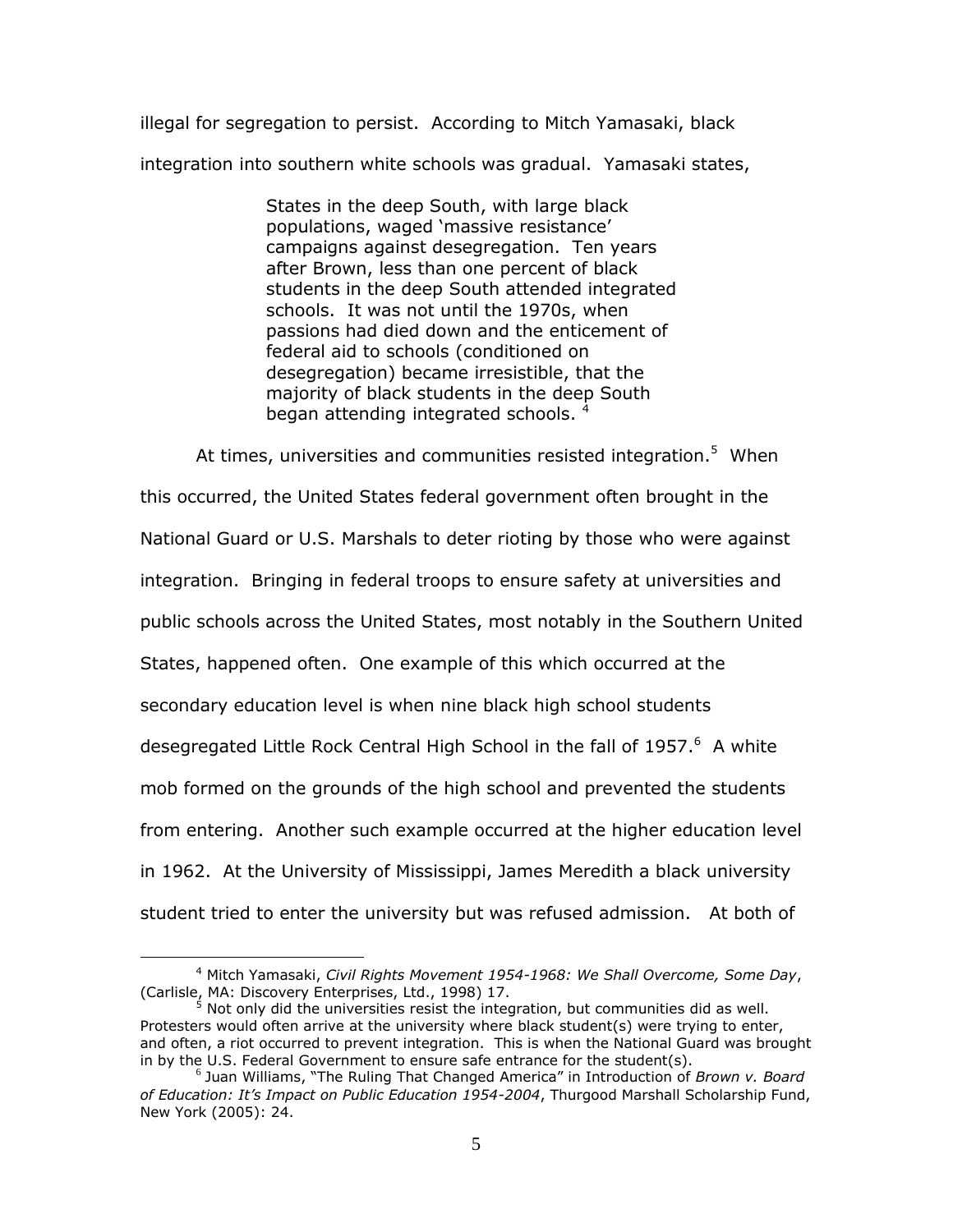illegal for segregation to persist. According to Mitch Yamasaki, black integration into southern white schools was gradual. Yamasaki states,

> States in the deep South, with large black populations, waged 'massive resistance' campaigns against desegregation. Ten years after Brown, less than one percent of black students in the deep South attended integrated schools. It was not until the 1970s, when passions had died down and the enticement of federal aid to schools (conditioned on desegregation) became irresistible, that the majority of black students in the deep South began attending integrated schools.<sup>4</sup>

At times, universities and communities resisted integration.<sup>5</sup> When this occurred, the United States federal government often brought in the National Guard or U.S. Marshals to deter rioting by those who were against integration. Bringing in federal troops to ensure safety at universities and public schools across the United States, most notably in the Southern United States, happened often. One example of this which occurred at the secondary education level is when nine black high school students desegregated Little Rock Central High School in the fall of 1957.<sup>6</sup> A white mob formed on the grounds of the high school and prevented the students from entering. Another such example occurred at the higher education level in 1962. At the University of Mississippi, James Meredith a black university student tried to enter the university but was refused admission. At both of

<sup>4</sup> Mitch Yamasaki, *Civil Rights Movement 1954-1968: We Shall Overcome, Some Day*, (Carlisle, MA: Discovery Enterprises, Ltd., 1998) 17.

 $5$  Not only did the universities resist the integration, but communities did as well. Protesters would often arrive at the university where black student(s) were trying to enter, and often, a riot occurred to prevent integration. This is when the National Guard was brought in by the U.S. Federal Government to ensure safe entrance for the student(s).

<sup>6</sup> Juan Williams, "The Ruling That Changed America" in Introduction of *Brown v. Board of Education: It's Impact on Public Education 1954-2004*, Thurgood Marshall Scholarship Fund, New York (2005): 24.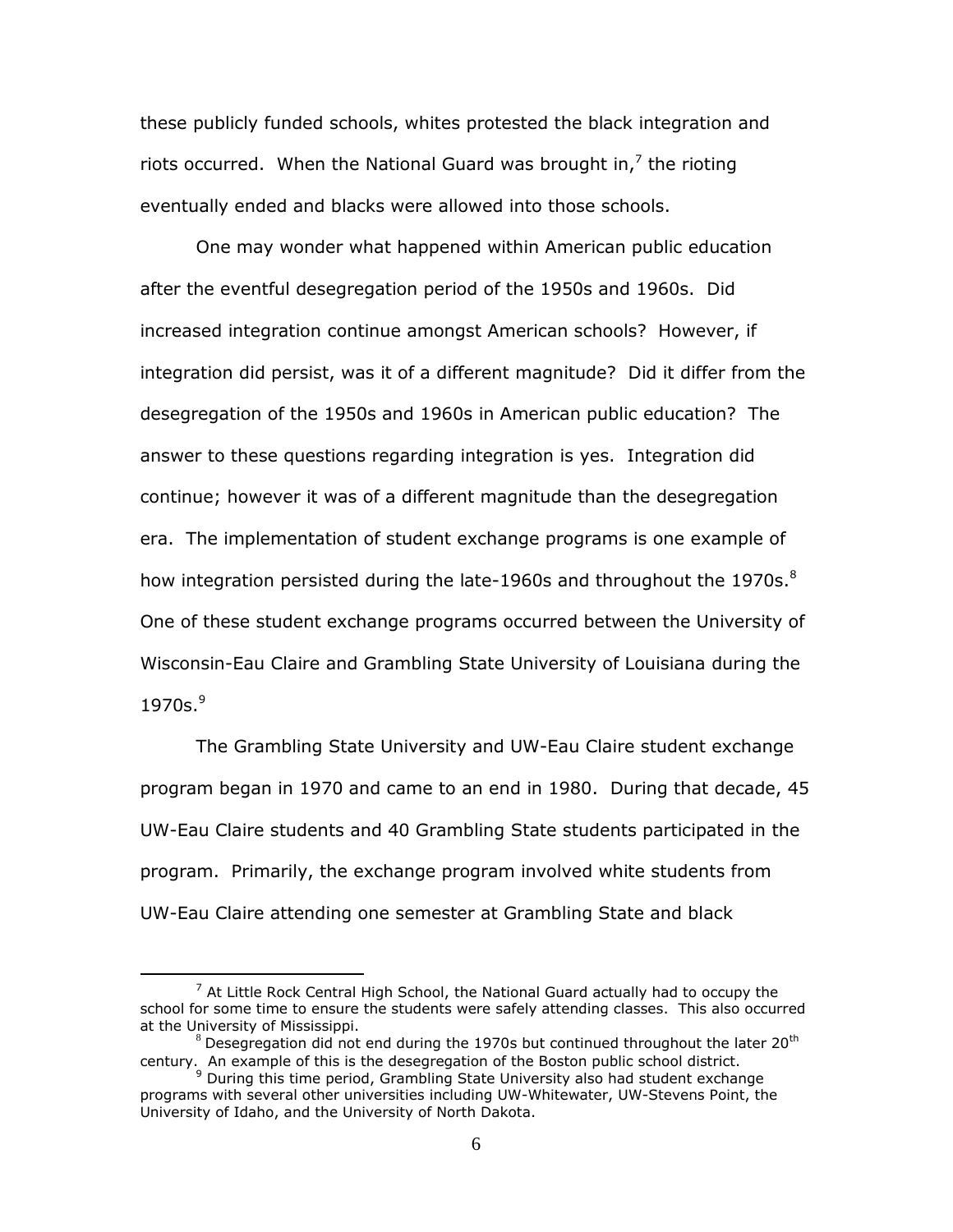these publicly funded schools, whites protested the black integration and riots occurred. When the National Guard was brought in,<sup>7</sup> the rioting eventually ended and blacks were allowed into those schools.

One may wonder what happened within American public education after the eventful desegregation period of the 1950s and 1960s. Did increased integration continue amongst American schools? However, if integration did persist, was it of a different magnitude? Did it differ from the desegregation of the 1950s and 1960s in American public education? The answer to these questions regarding integration is yes. Integration did continue; however it was of a different magnitude than the desegregation era. The implementation of student exchange programs is one example of how integration persisted during the late-1960s and throughout the 1970s. $8$ One of these student exchange programs occurred between the University of Wisconsin-Eau Claire and Grambling State University of Louisiana during the 1970s. 9

The Grambling State University and UW-Eau Claire student exchange program began in 1970 and came to an end in 1980. During that decade, 45 UW-Eau Claire students and 40 Grambling State students participated in the program. Primarily, the exchange program involved white students from UW-Eau Claire attending one semester at Grambling State and black

 $<sup>7</sup>$  At Little Rock Central High School, the National Guard actually had to occupy the</sup> school for some time to ensure the students were safely attending classes. This also occurred at the University of Mississippi.

 $8$  Desegregation did not end during the 1970s but continued throughout the later 20<sup>th</sup> century. An example of this is the desegregation of the Boston public school district.

<sup>&</sup>lt;sup>9</sup> During this time period, Grambling State University also had student exchange programs with several other universities including UW-Whitewater, UW-Stevens Point, the University of Idaho, and the University of North Dakota.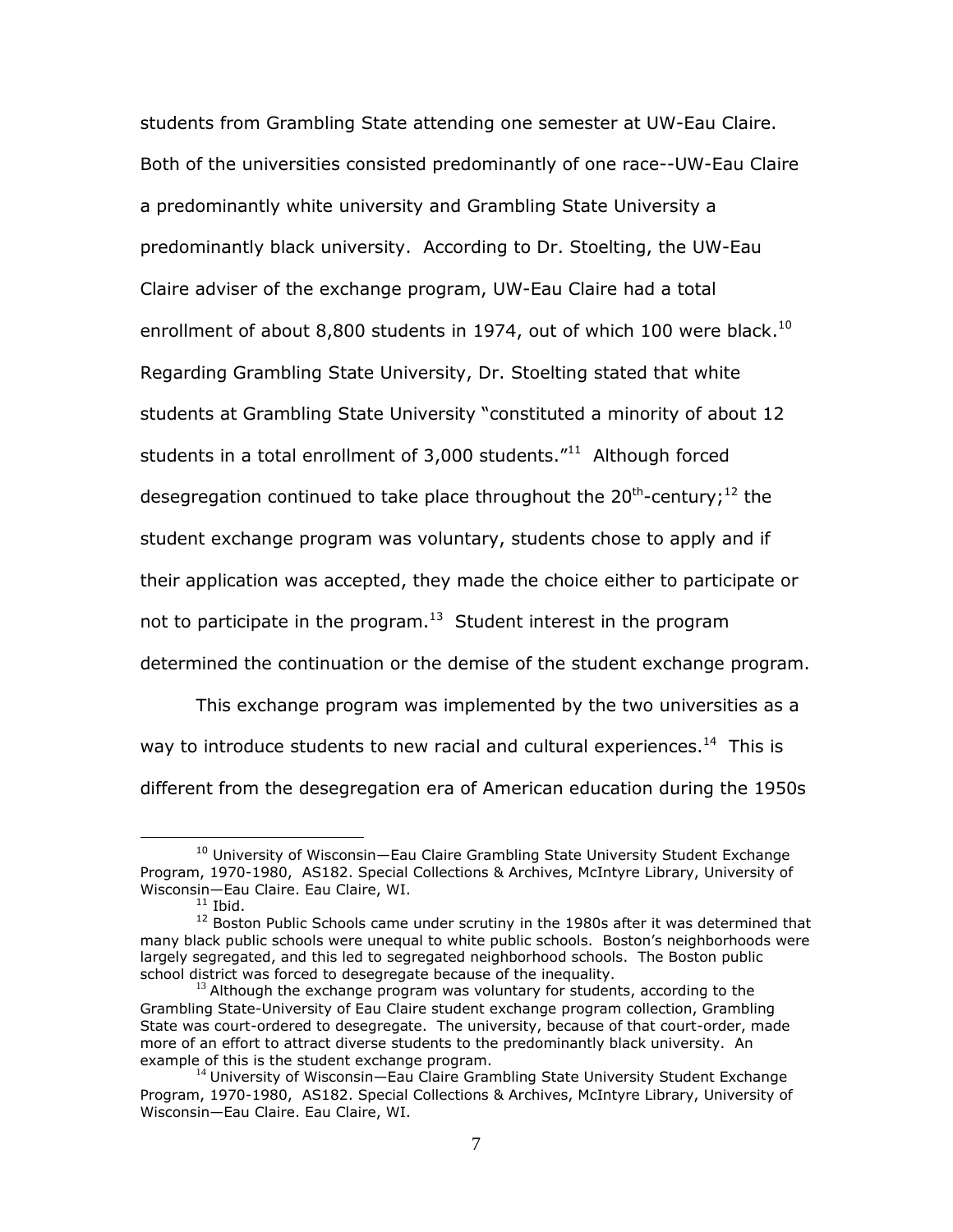students from Grambling State attending one semester at UW-Eau Claire. Both of the universities consisted predominantly of one race--UW-Eau Claire a predominantly white university and Grambling State University a predominantly black university. According to Dr. Stoelting, the UW-Eau Claire adviser of the exchange program, UW-Eau Claire had a total enrollment of about 8,800 students in 1974, out of which 100 were black.<sup>10</sup> Regarding Grambling State University, Dr. Stoelting stated that white students at Grambling State University "constituted a minority of about 12 students in a total enrollment of  $3,000$  students." $11$  Although forced desegregation continued to take place throughout the 20<sup>th</sup>-century;<sup>12</sup> the student exchange program was voluntary, students chose to apply and if their application was accepted, they made the choice either to participate or not to participate in the program. $^{13}$  Student interest in the program determined the continuation or the demise of the student exchange program.

This exchange program was implemented by the two universities as a way to introduce students to new racial and cultural experiences.<sup>14</sup> This is different from the desegregation era of American education during the 1950s

<sup>&</sup>lt;sup>10</sup> University of Wisconsin—Eau Claire Grambling State University Student Exchange Program, 1970-1980, AS182. Special Collections & Archives, McIntyre Library, University of Wisconsin—Eau Claire. Eau Claire, WI.

 $11$  Ibid.

<sup>&</sup>lt;sup>12</sup> Boston Public Schools came under scrutiny in the 1980s after it was determined that many black public schools were unequal to white public schools. Boston"s neighborhoods were largely segregated, and this led to segregated neighborhood schools. The Boston public school district was forced to desegregate because of the inequality.

 $13$  Although the exchange program was voluntary for students, according to the Grambling State-University of Eau Claire student exchange program collection, Grambling State was court-ordered to desegregate. The university, because of that court-order, made more of an effort to attract diverse students to the predominantly black university. An example of this is the student exchange program.

<sup>&</sup>lt;sup>14</sup> University of Wisconsin-Eau Claire Grambling State University Student Exchange Program, 1970-1980, AS182. Special Collections & Archives, McIntyre Library, University of Wisconsin—Eau Claire. Eau Claire, WI.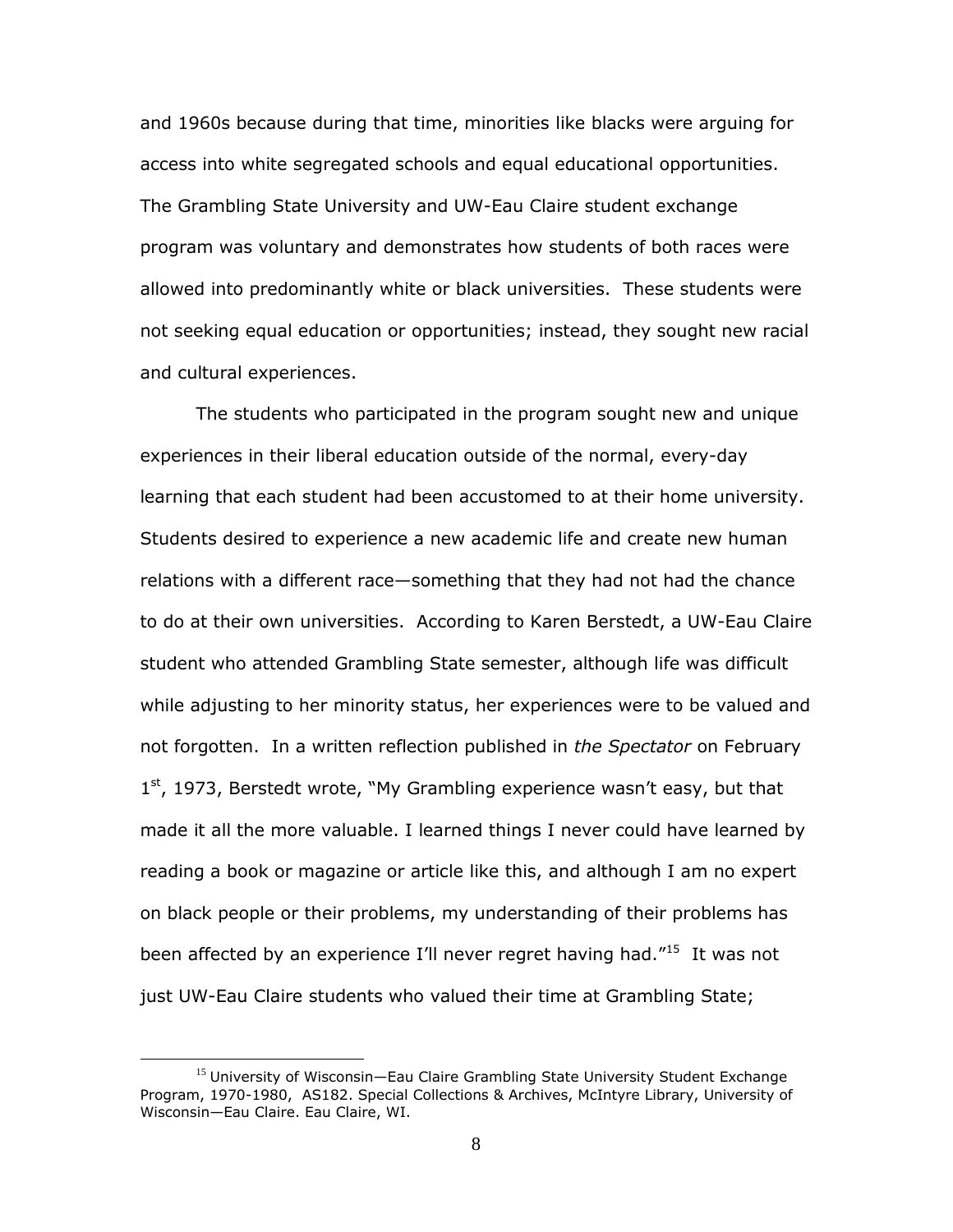and 1960s because during that time, minorities like blacks were arguing for access into white segregated schools and equal educational opportunities. The Grambling State University and UW-Eau Claire student exchange program was voluntary and demonstrates how students of both races were allowed into predominantly white or black universities. These students were not seeking equal education or opportunities; instead, they sought new racial and cultural experiences.

The students who participated in the program sought new and unique experiences in their liberal education outside of the normal, every-day learning that each student had been accustomed to at their home university. Students desired to experience a new academic life and create new human relations with a different race—something that they had not had the chance to do at their own universities. According to Karen Berstedt, a UW-Eau Claire student who attended Grambling State semester, although life was difficult while adjusting to her minority status, her experiences were to be valued and not forgotten. In a written reflection published in *the Spectator* on February 1<sup>st</sup>, 1973, Berstedt wrote, "My Grambling experience wasn't easy, but that made it all the more valuable. I learned things I never could have learned by reading a book or magazine or article like this, and although I am no expert on black people or their problems, my understanding of their problems has been affected by an experience I'll never regret having had."<sup>15</sup> It was not just UW-Eau Claire students who valued their time at Grambling State;

<sup>&</sup>lt;sup>15</sup> University of Wisconsin—Eau Claire Grambling State University Student Exchange Program, 1970-1980, AS182. Special Collections & Archives, McIntyre Library, University of Wisconsin—Eau Claire. Eau Claire, WI.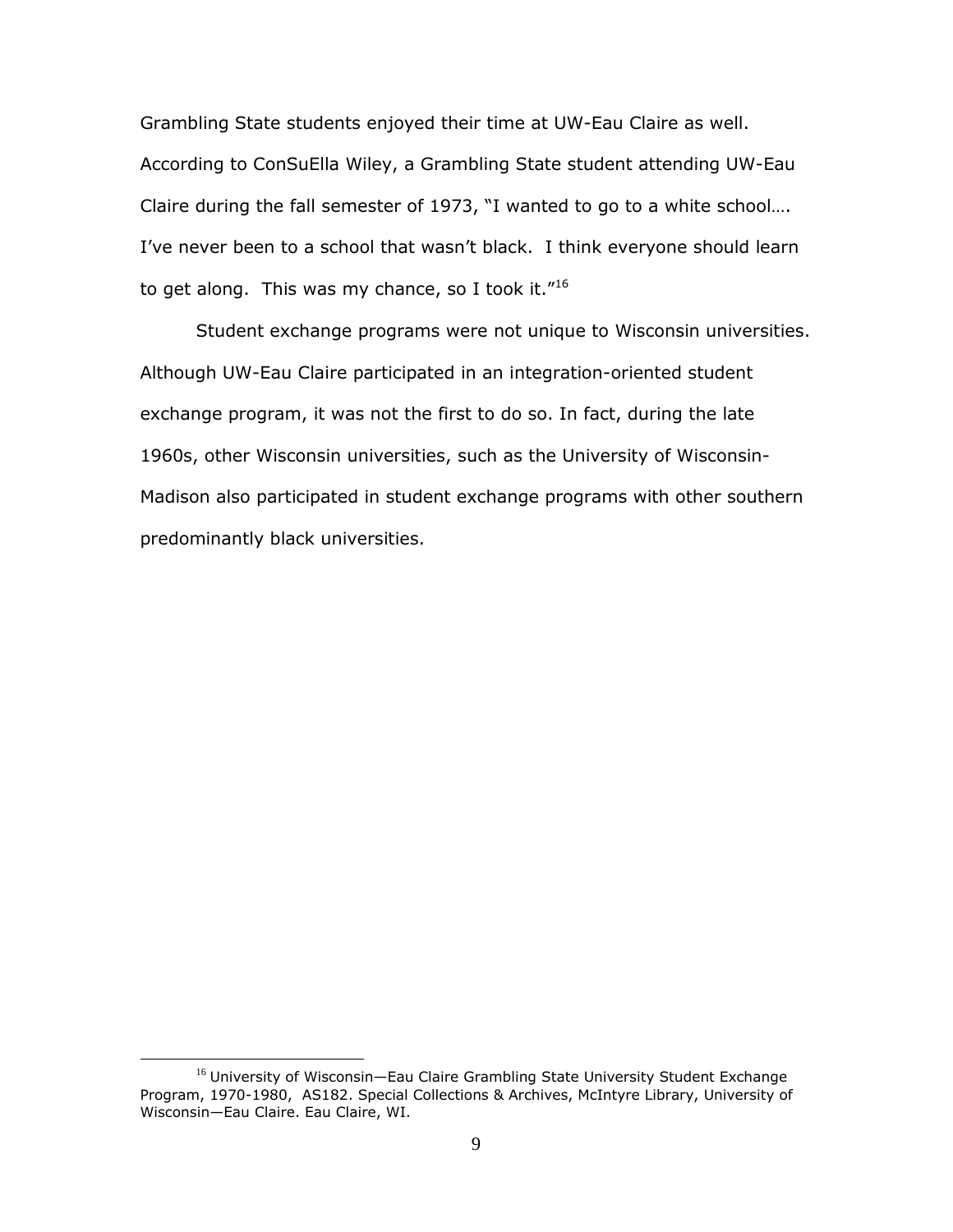Grambling State students enjoyed their time at UW-Eau Claire as well. According to ConSuElla Wiley, a Grambling State student attending UW-Eau Claire during the fall semester of 1973, "I wanted to go to a white school…. I've never been to a school that wasn't black. I think everyone should learn to get along. This was my chance, so I took it." $^{16}$ 

Student exchange programs were not unique to Wisconsin universities. Although UW-Eau Claire participated in an integration-oriented student exchange program, it was not the first to do so. In fact, during the late 1960s, other Wisconsin universities, such as the University of Wisconsin-Madison also participated in student exchange programs with other southern predominantly black universities.

<sup>&</sup>lt;sup>16</sup> University of Wisconsin-Eau Claire Grambling State University Student Exchange Program, 1970-1980, AS182. Special Collections & Archives, McIntyre Library, University of Wisconsin—Eau Claire. Eau Claire, WI.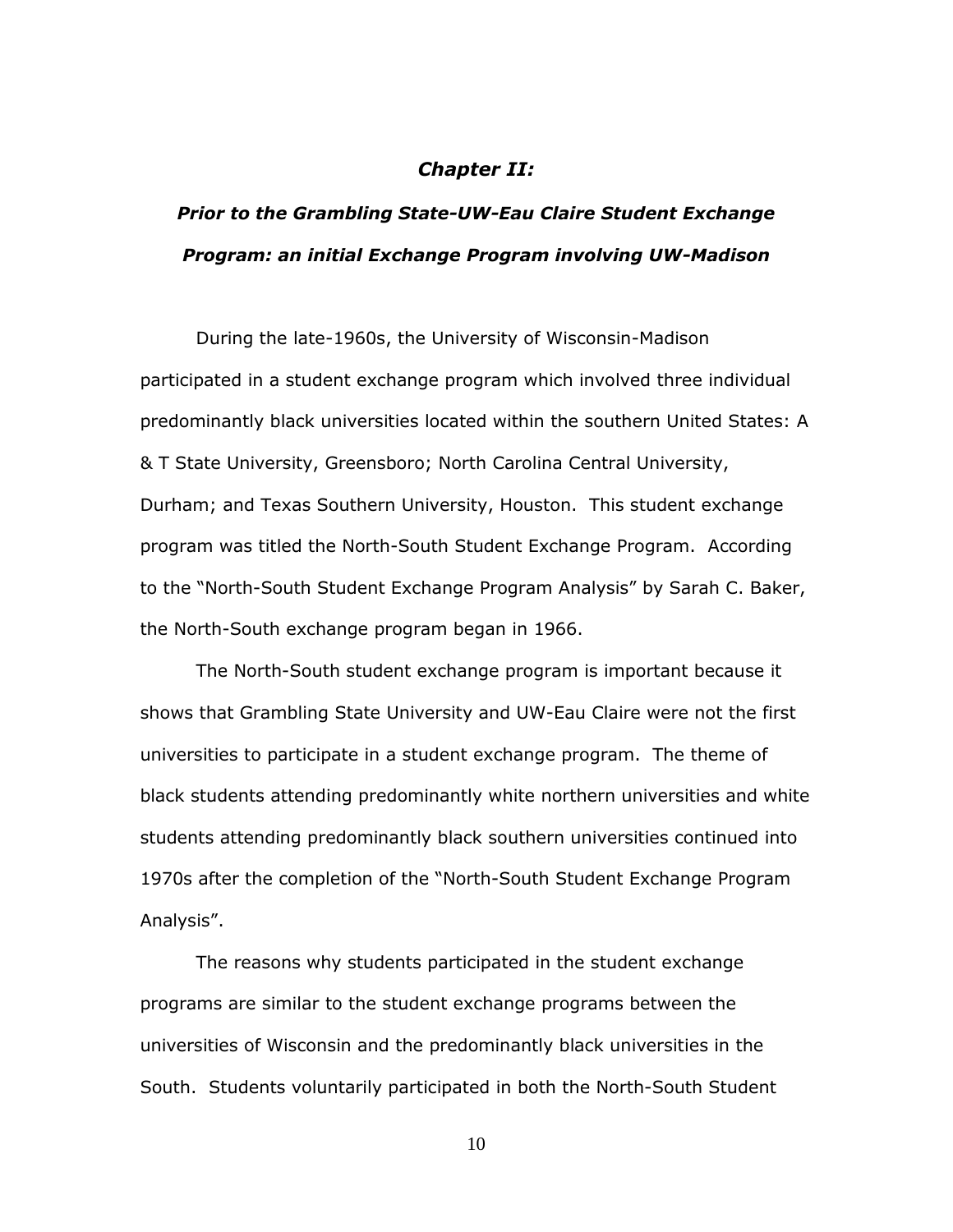#### *Chapter II:*

# *Prior to the Grambling State-UW-Eau Claire Student Exchange Program: an initial Exchange Program involving UW-Madison*

During the late-1960s, the University of Wisconsin-Madison participated in a student exchange program which involved three individual predominantly black universities located within the southern United States: A & T State University, Greensboro; North Carolina Central University, Durham; and Texas Southern University, Houston. This student exchange program was titled the North-South Student Exchange Program. According to the "North-South Student Exchange Program Analysis" by Sarah C. Baker, the North-South exchange program began in 1966.

The North-South student exchange program is important because it shows that Grambling State University and UW-Eau Claire were not the first universities to participate in a student exchange program. The theme of black students attending predominantly white northern universities and white students attending predominantly black southern universities continued into 1970s after the completion of the "North-South Student Exchange Program Analysis".

The reasons why students participated in the student exchange programs are similar to the student exchange programs between the universities of Wisconsin and the predominantly black universities in the South. Students voluntarily participated in both the North-South Student

10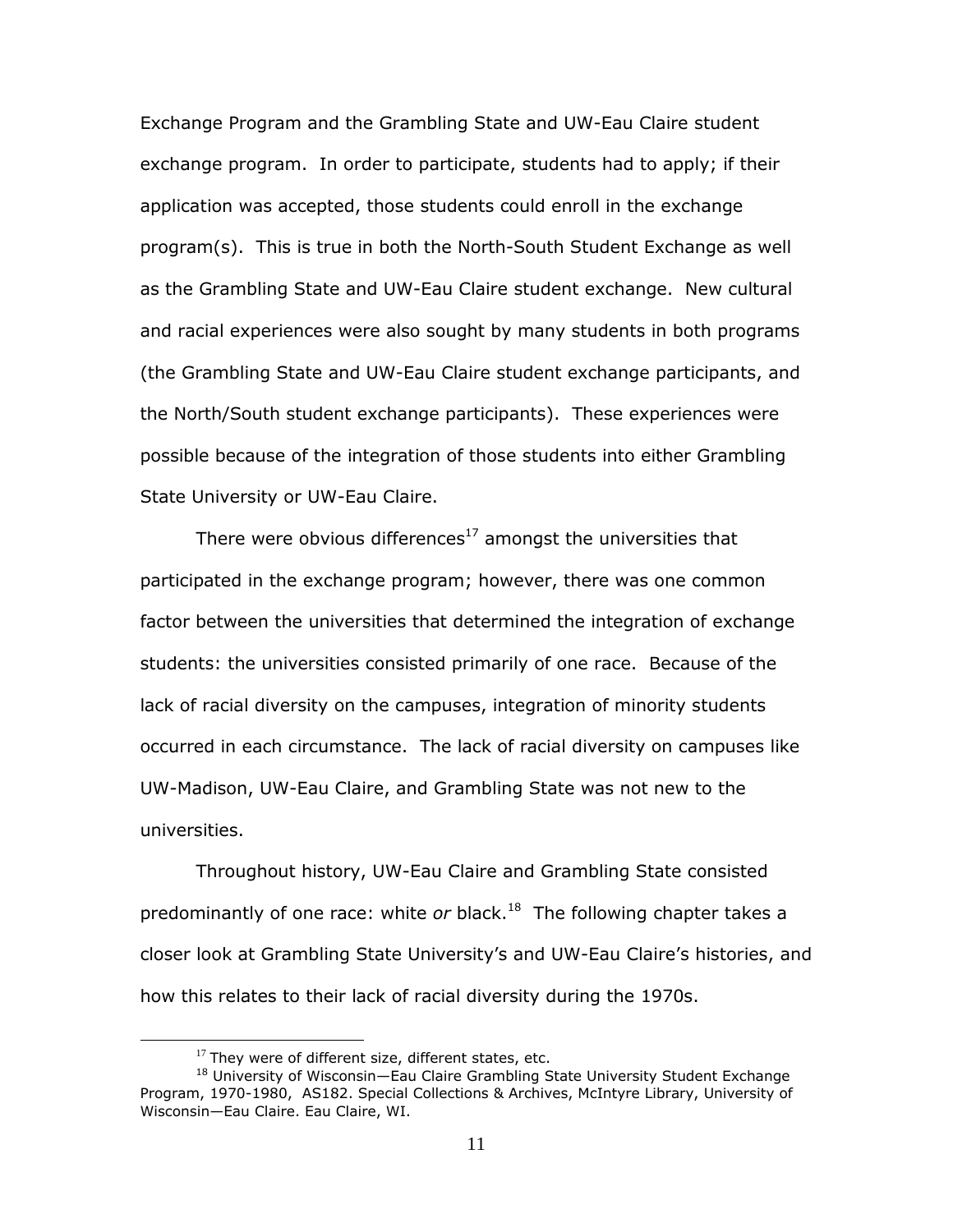Exchange Program and the Grambling State and UW-Eau Claire student exchange program. In order to participate, students had to apply; if their application was accepted, those students could enroll in the exchange program(s). This is true in both the North-South Student Exchange as well as the Grambling State and UW-Eau Claire student exchange. New cultural and racial experiences were also sought by many students in both programs (the Grambling State and UW-Eau Claire student exchange participants, and the North/South student exchange participants). These experiences were possible because of the integration of those students into either Grambling State University or UW-Eau Claire.

There were obvious differences $17$  amongst the universities that participated in the exchange program; however, there was one common factor between the universities that determined the integration of exchange students: the universities consisted primarily of one race. Because of the lack of racial diversity on the campuses, integration of minority students occurred in each circumstance. The lack of racial diversity on campuses like UW-Madison, UW-Eau Claire, and Grambling State was not new to the universities.

Throughout history, UW-Eau Claire and Grambling State consisted predominantly of one race: white *or* black.<sup>18</sup> The following chapter takes a closer look at Grambling State University"s and UW-Eau Claire"s histories, and how this relates to their lack of racial diversity during the 1970s.

 $17$  They were of different size, different states, etc.

<sup>&</sup>lt;sup>18</sup> University of Wisconsin-Eau Claire Grambling State University Student Exchange Program, 1970-1980, AS182. Special Collections & Archives, McIntyre Library, University of Wisconsin—Eau Claire. Eau Claire, WI.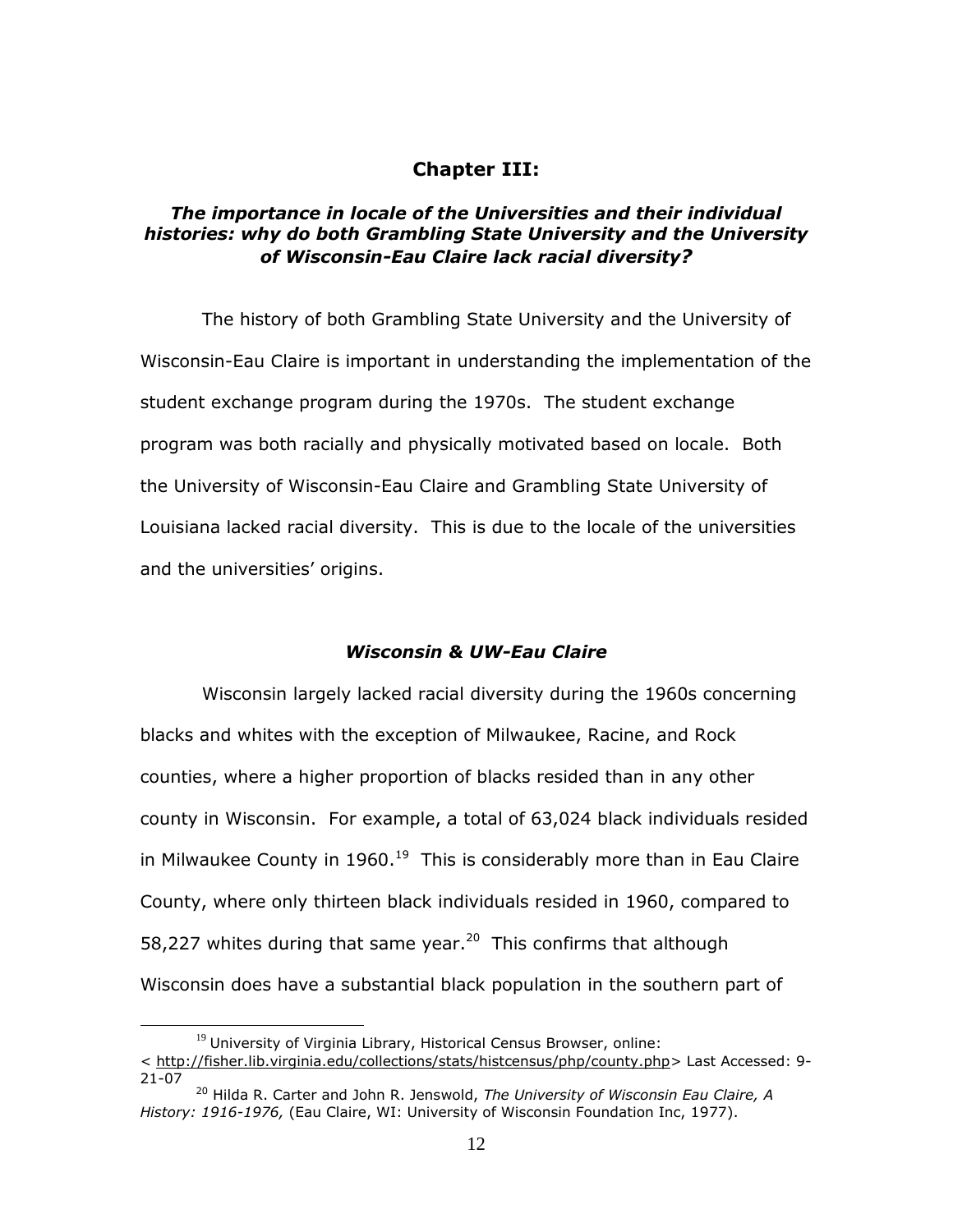### **Chapter III:**

### *The importance in locale of the Universities and their individual histories: why do both Grambling State University and the University of Wisconsin-Eau Claire lack racial diversity?*

The history of both Grambling State University and the University of Wisconsin-Eau Claire is important in understanding the implementation of the student exchange program during the 1970s. The student exchange program was both racially and physically motivated based on locale. Both the University of Wisconsin-Eau Claire and Grambling State University of Louisiana lacked racial diversity. This is due to the locale of the universities and the universities' origins.

#### *Wisconsin & UW-Eau Claire*

Wisconsin largely lacked racial diversity during the 1960s concerning blacks and whites with the exception of Milwaukee, Racine, and Rock counties, where a higher proportion of blacks resided than in any other county in Wisconsin. For example, a total of 63,024 black individuals resided in Milwaukee County in 1960.<sup>19</sup> This is considerably more than in Eau Claire County, where only thirteen black individuals resided in 1960, compared to 58,227 whites during that same year.<sup>20</sup> This confirms that although Wisconsin does have a substantial black population in the southern part of

 $19$  University of Virginia Library, Historical Census Browser, online: < http://fisher.lib.virginia.edu/collections/stats/histcensus/php/county.php> Last Accessed: 9- 21-07

<sup>20</sup> Hilda R. Carter and John R. Jenswold, *The University of Wisconsin Eau Claire, A History: 1916-1976,* (Eau Claire, WI: University of Wisconsin Foundation Inc, 1977).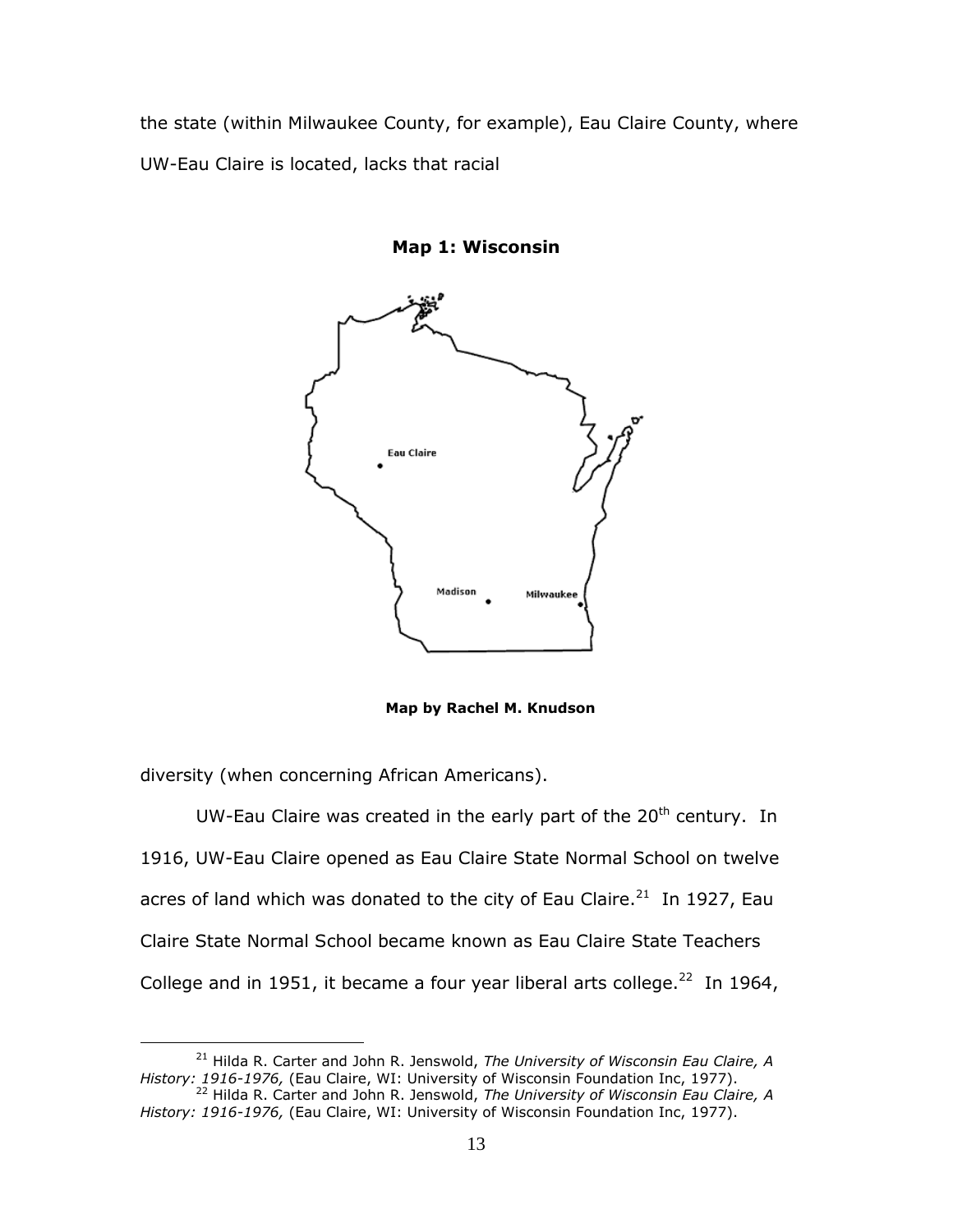the state (within Milwaukee County, for example), Eau Claire County, where UW-Eau Claire is located, lacks that racial



**Map 1: Wisconsin**

 **Map by Rachel M. Knudson**

diversity (when concerning African Americans).

 $\overline{a}$ 

UW-Eau Claire was created in the early part of the  $20<sup>th</sup>$  century. In 1916, UW-Eau Claire opened as Eau Claire State Normal School on twelve acres of land which was donated to the city of Eau Claire.<sup>21</sup> In 1927, Eau Claire State Normal School became known as Eau Claire State Teachers College and in 1951, it became a four year liberal arts college.<sup>22</sup> In 1964,

<sup>21</sup> Hilda R. Carter and John R. Jenswold, *The University of Wisconsin Eau Claire, A History: 1916-1976,* (Eau Claire, WI: University of Wisconsin Foundation Inc, 1977).

<sup>22</sup> Hilda R. Carter and John R. Jenswold, *The University of Wisconsin Eau Claire, A History: 1916-1976,* (Eau Claire, WI: University of Wisconsin Foundation Inc, 1977).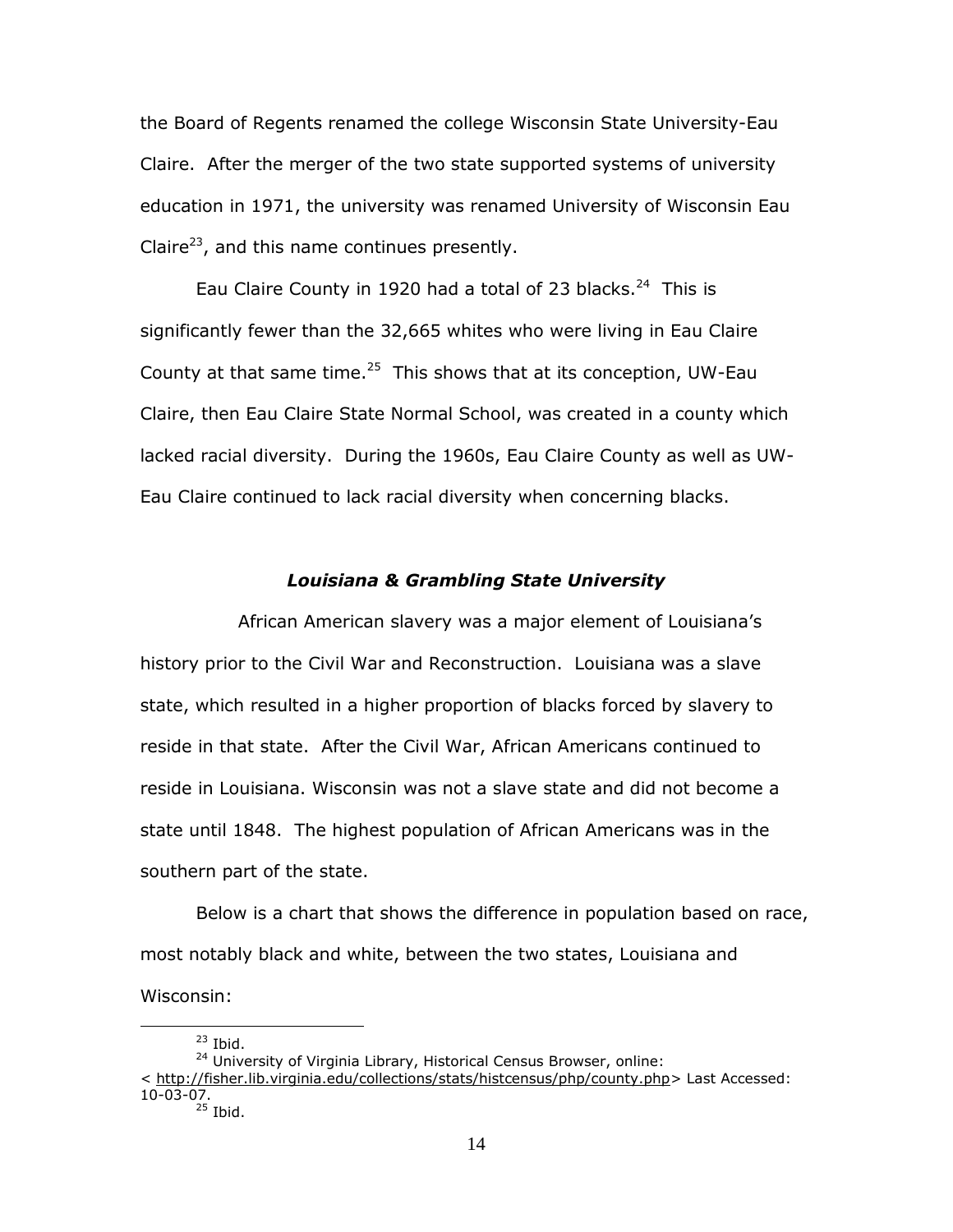the Board of Regents renamed the college Wisconsin State University-Eau Claire. After the merger of the two state supported systems of university education in 1971, the university was renamed University of Wisconsin Eau Claire<sup>23</sup>, and this name continues presently.

Eau Claire County in 1920 had a total of 23 blacks. $24$  This is significantly fewer than the 32,665 whites who were living in Eau Claire County at that same time. $25$  This shows that at its conception, UW-Eau Claire, then Eau Claire State Normal School, was created in a county which lacked racial diversity. During the 1960s, Eau Claire County as well as UW-Eau Claire continued to lack racial diversity when concerning blacks.

#### *Louisiana & Grambling State University*

 African American slavery was a major element of Louisiana"s history prior to the Civil War and Reconstruction. Louisiana was a slave state, which resulted in a higher proportion of blacks forced by slavery to reside in that state. After the Civil War, African Americans continued to reside in Louisiana. Wisconsin was not a slave state and did not become a state until 1848. The highest population of African Americans was in the southern part of the state.

Below is a chart that shows the difference in population based on race, most notably black and white, between the two states, Louisiana and Wisconsin:

 $23$  Ibid.

<sup>&</sup>lt;sup>24</sup> University of Virginia Library, Historical Census Browser, online: < http://fisher.lib.virginia.edu/collections/stats/histcensus/php/county.php> Last Accessed: 10-03-07.

 $^{25}$  Ibid.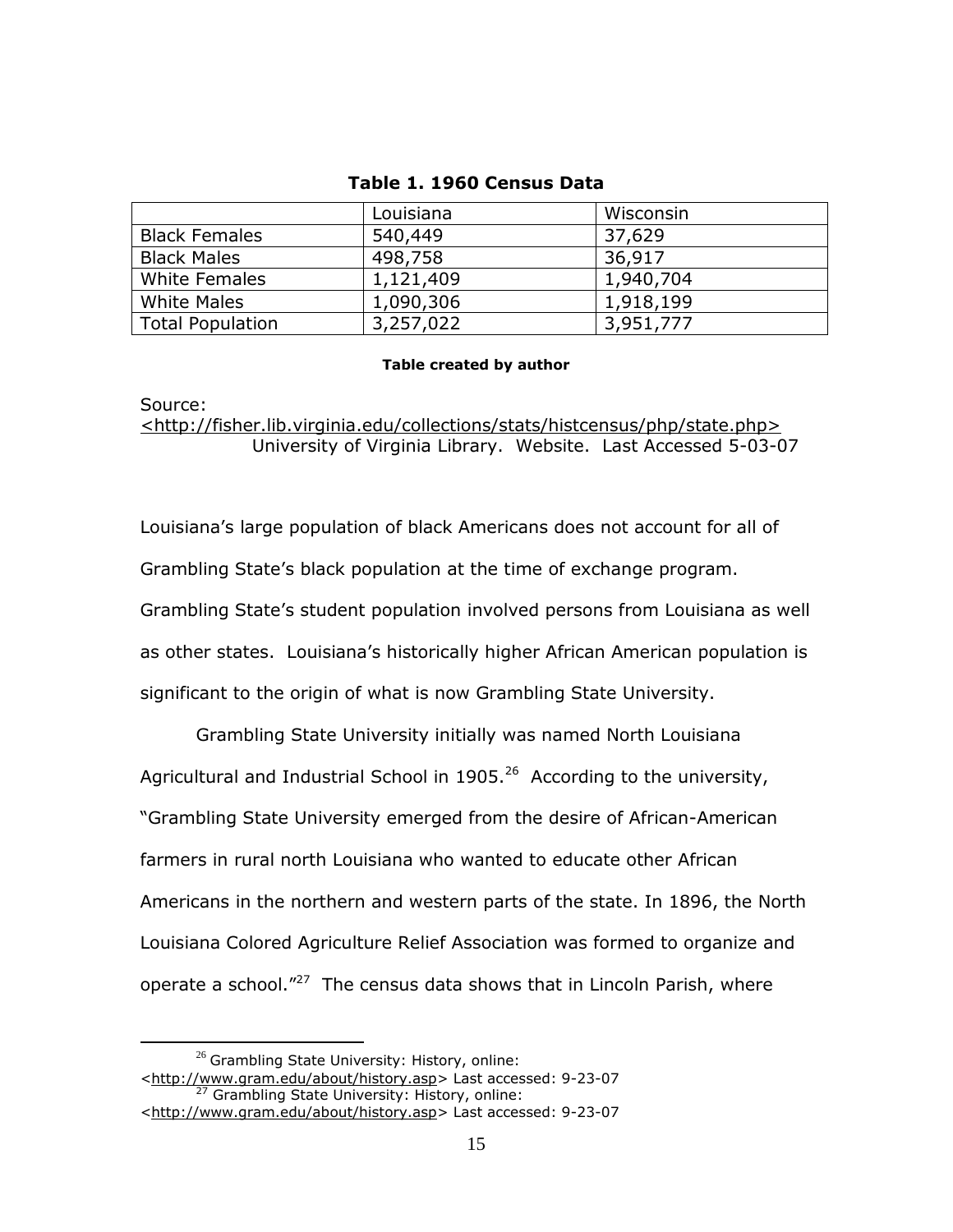### **Table 1. 1960 Census Data**

|                         | Louisiana | Wisconsin |
|-------------------------|-----------|-----------|
| <b>Black Females</b>    | 540,449   | 37,629    |
| <b>Black Males</b>      | 498,758   | 36,917    |
| White Females           | 1,121,409 | 1,940,704 |
| <b>White Males</b>      | 1,090,306 | 1,918,199 |
| <b>Total Population</b> | 3,257,022 | 3,951,777 |

#### **Table created by author**

### Source: <http://fisher.lib.virginia.edu/collections/stats/histcensus/php/state.php> University of Virginia Library. Website. Last Accessed 5-03-07

Louisiana"s large population of black Americans does not account for all of Grambling State"s black population at the time of exchange program. Grambling State"s student population involved persons from Louisiana as well as other states. Louisiana"s historically higher African American population is significant to the origin of what is now Grambling State University.

 Grambling State University initially was named North Louisiana Agricultural and Industrial School in 1905. $^{26}$  According to the university, "Grambling State University emerged from the desire of African-American farmers in rural north Louisiana who wanted to educate other African Americans in the northern and western parts of the state. In 1896, the North Louisiana Colored Agriculture Relief Association was formed to organize and operate a school."<sup>27</sup> The census data shows that in Lincoln Parish, where

 $26$  Grambling State University: History, online:

[<sup>&</sup>lt;http://www.gram.edu/about/history.asp>](http://www.gram.edu/about/history.asp) Last accessed: 9-23-07 <sup>27</sup> Grambling State University: History, online: [<http://www.gram.edu/about/history.asp>](http://www.gram.edu/about/history.asp) Last accessed: 9-23-07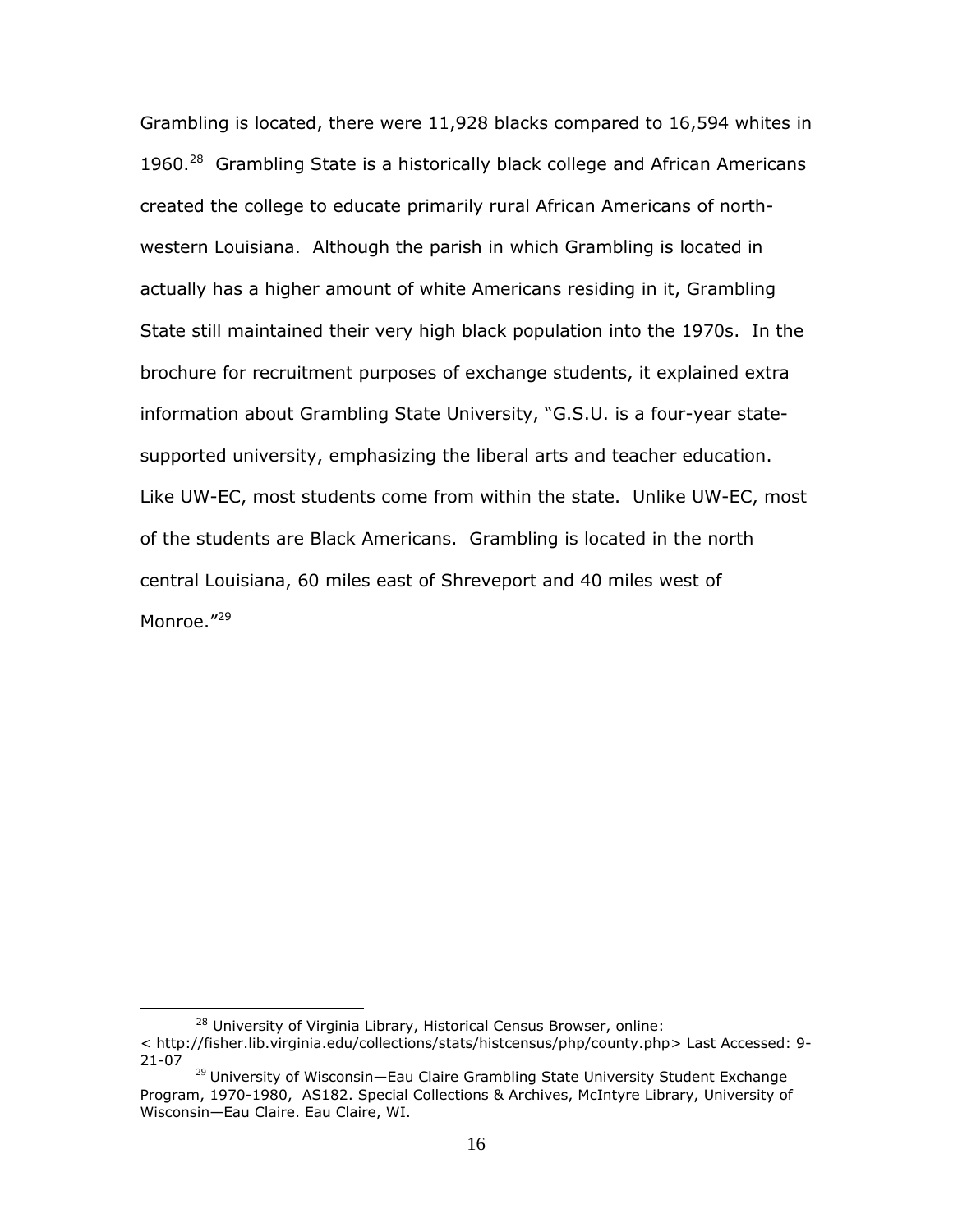Grambling is located, there were 11,928 blacks compared to 16,594 whites in 1960.<sup>28</sup> Grambling State is a historically black college and African Americans created the college to educate primarily rural African Americans of northwestern Louisiana. Although the parish in which Grambling is located in actually has a higher amount of white Americans residing in it, Grambling State still maintained their very high black population into the 1970s. In the brochure for recruitment purposes of exchange students, it explained extra information about Grambling State University, "G.S.U. is a four-year statesupported university, emphasizing the liberal arts and teacher education. Like UW-EC, most students come from within the state. Unlike UW-EC, most of the students are Black Americans. Grambling is located in the north central Louisiana, 60 miles east of Shreveport and 40 miles west of Monroe.<sup>"29</sup>

<sup>&</sup>lt;sup>28</sup> University of Virginia Library, Historical Census Browser, online:

<sup>&</sup>lt; http://fisher.lib.virginia.edu/collections/stats/histcensus/php/county.php> Last Accessed: 9- 21-07

 $29$  University of Wisconsin-Eau Claire Grambling State University Student Exchange Program, 1970-1980, AS182. Special Collections & Archives, McIntyre Library, University of Wisconsin—Eau Claire. Eau Claire, WI.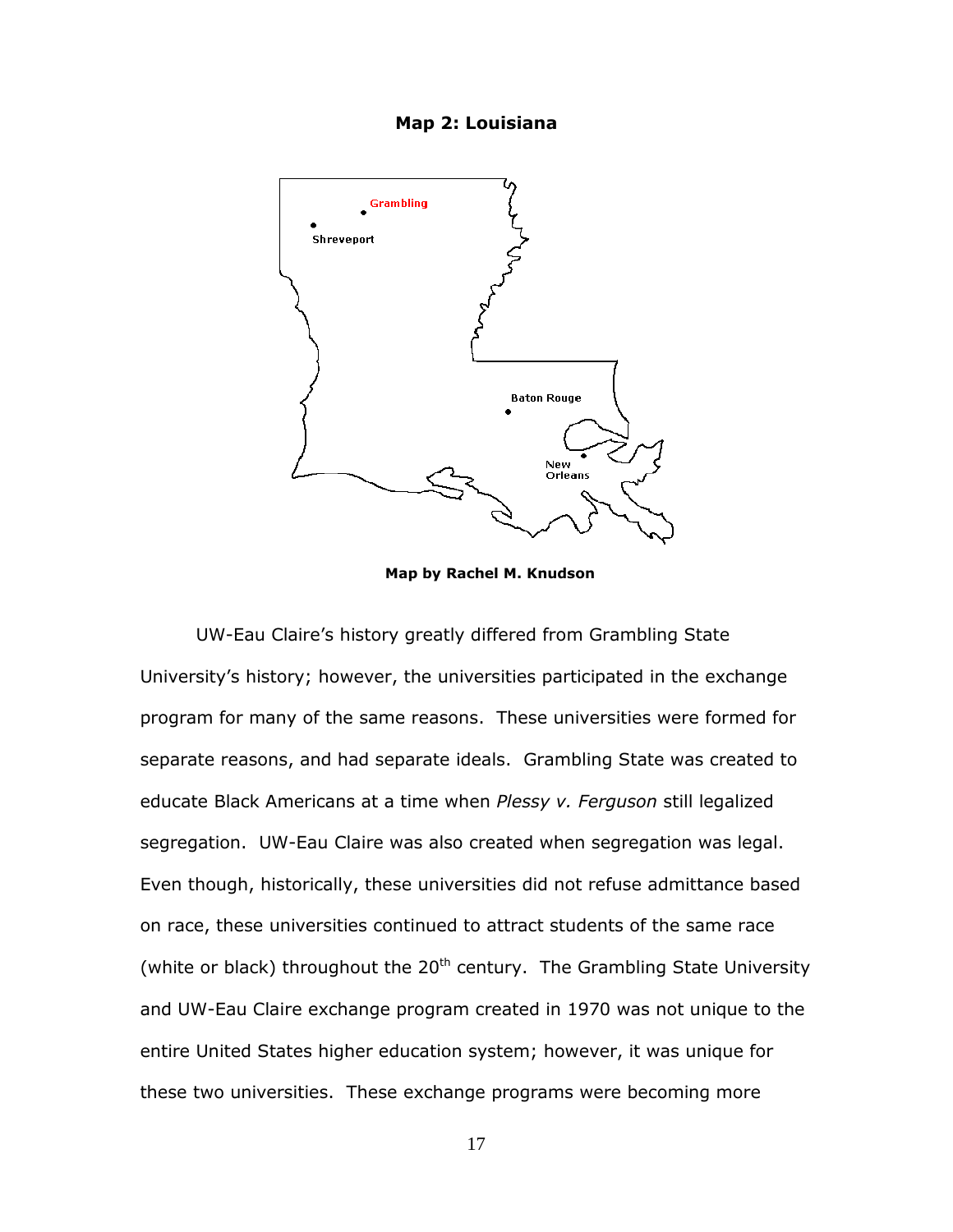#### **Map 2: Louisiana**



 **Map by Rachel M. Knudson**

UW-Eau Claire"s history greatly differed from Grambling State University"s history; however, the universities participated in the exchange program for many of the same reasons. These universities were formed for separate reasons, and had separate ideals. Grambling State was created to educate Black Americans at a time when *Plessy v. Ferguson* still legalized segregation. UW-Eau Claire was also created when segregation was legal. Even though, historically, these universities did not refuse admittance based on race, these universities continued to attract students of the same race (white or black) throughout the  $20<sup>th</sup>$  century. The Grambling State University and UW-Eau Claire exchange program created in 1970 was not unique to the entire United States higher education system; however, it was unique for these two universities. These exchange programs were becoming more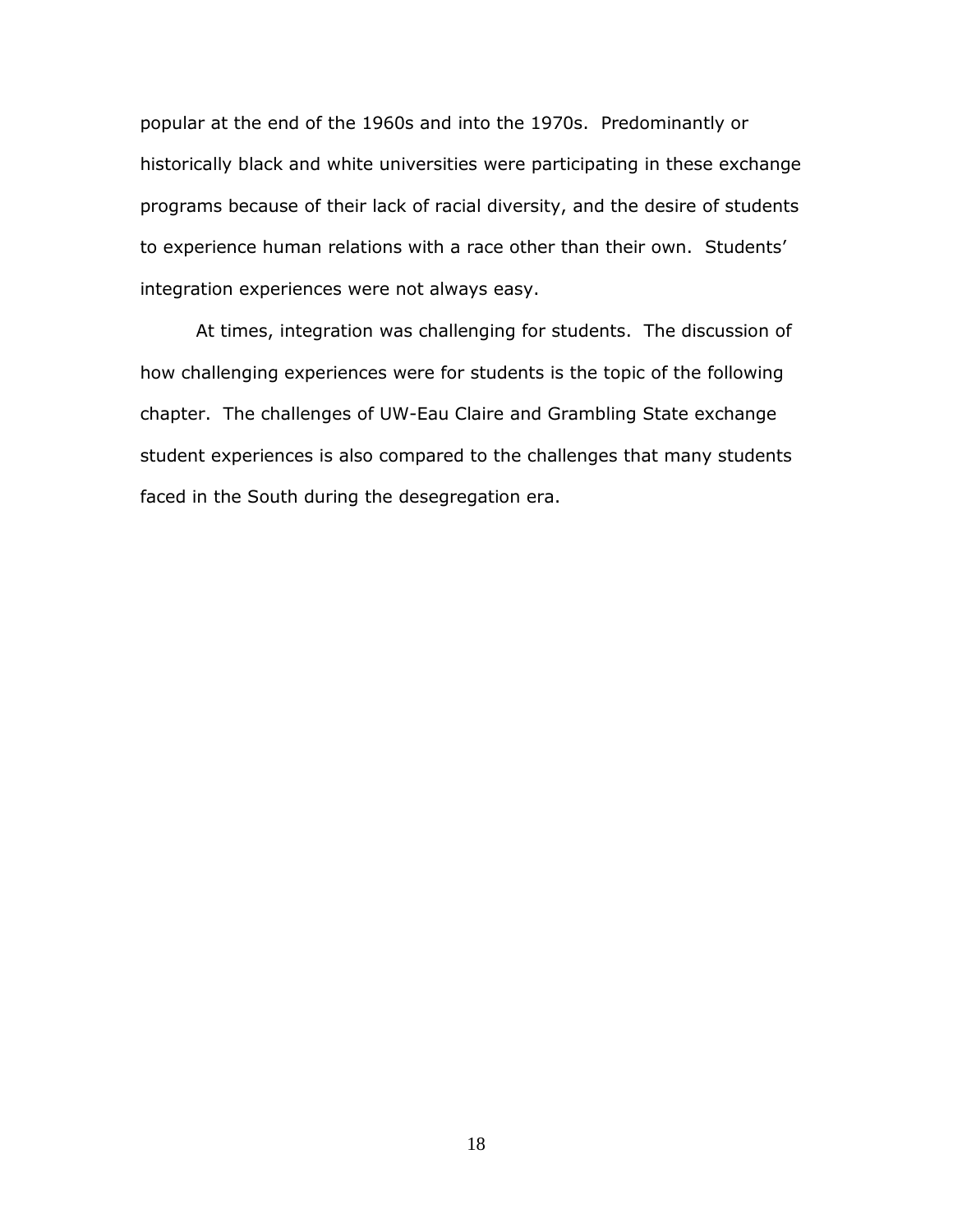popular at the end of the 1960s and into the 1970s. Predominantly or historically black and white universities were participating in these exchange programs because of their lack of racial diversity, and the desire of students to experience human relations with a race other than their own. Students' integration experiences were not always easy.

At times, integration was challenging for students. The discussion of how challenging experiences were for students is the topic of the following chapter. The challenges of UW-Eau Claire and Grambling State exchange student experiences is also compared to the challenges that many students faced in the South during the desegregation era.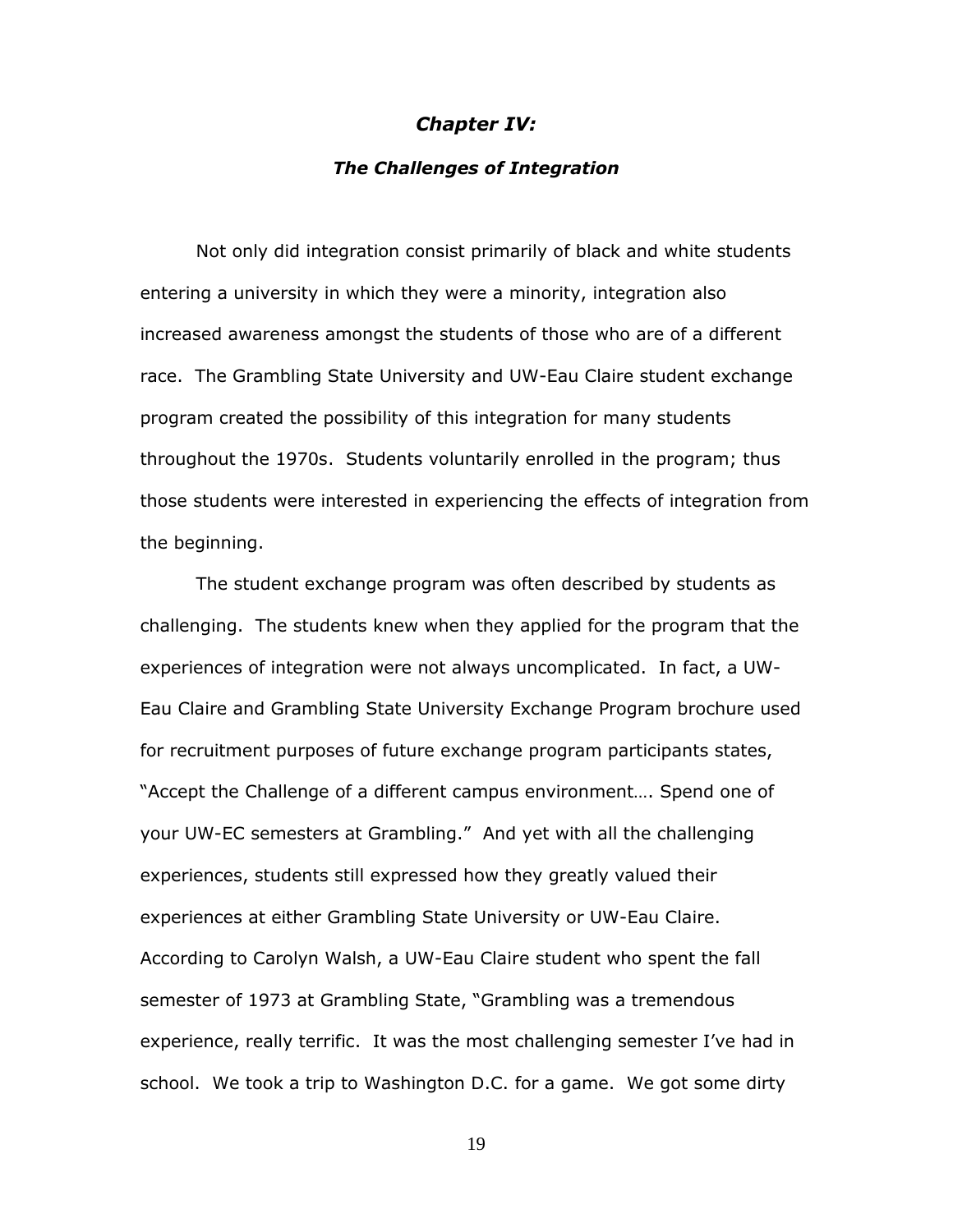#### *Chapter IV:*

#### *The Challenges of Integration*

Not only did integration consist primarily of black and white students entering a university in which they were a minority, integration also increased awareness amongst the students of those who are of a different race. The Grambling State University and UW-Eau Claire student exchange program created the possibility of this integration for many students throughout the 1970s. Students voluntarily enrolled in the program; thus those students were interested in experiencing the effects of integration from the beginning.

The student exchange program was often described by students as challenging. The students knew when they applied for the program that the experiences of integration were not always uncomplicated. In fact, a UW-Eau Claire and Grambling State University Exchange Program brochure used for recruitment purposes of future exchange program participants states, "Accept the Challenge of a different campus environment…. Spend one of your UW-EC semesters at Grambling." And yet with all the challenging experiences, students still expressed how they greatly valued their experiences at either Grambling State University or UW-Eau Claire. According to Carolyn Walsh, a UW-Eau Claire student who spent the fall semester of 1973 at Grambling State, "Grambling was a tremendous experience, really terrific. It was the most challenging semester I've had in school. We took a trip to Washington D.C. for a game. We got some dirty

19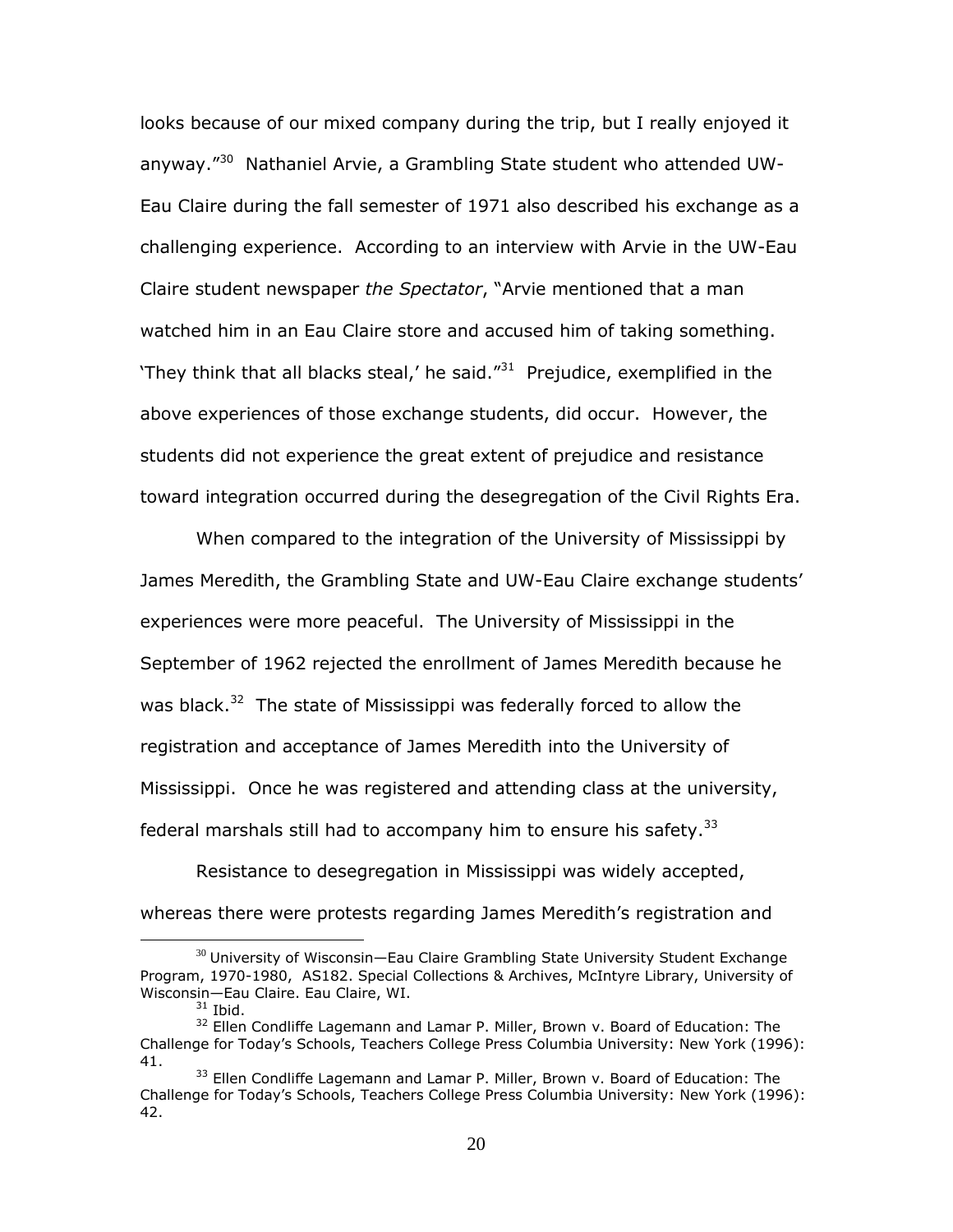looks because of our mixed company during the trip, but I really enjoyed it anyway."<sup>30</sup> Nathaniel Arvie, a Grambling State student who attended UW-Eau Claire during the fall semester of 1971 also described his exchange as a challenging experience. According to an interview with Arvie in the UW-Eau Claire student newspaper *the Spectator*, "Arvie mentioned that a man watched him in an Eau Claire store and accused him of taking something. They think that all blacks steal,' he said. $131$  Prejudice, exemplified in the above experiences of those exchange students, did occur. However, the students did not experience the great extent of prejudice and resistance toward integration occurred during the desegregation of the Civil Rights Era.

When compared to the integration of the University of Mississippi by James Meredith, the Grambling State and UW-Eau Claire exchange students" experiences were more peaceful. The University of Mississippi in the September of 1962 rejected the enrollment of James Meredith because he was black.<sup>32</sup> The state of Mississippi was federally forced to allow the registration and acceptance of James Meredith into the University of Mississippi. Once he was registered and attending class at the university, federal marshals still had to accompany him to ensure his safety.<sup>33</sup>

Resistance to desegregation in Mississippi was widely accepted, whereas there were protests regarding James Meredith's registration and

 $30$  University of Wisconsin—Eau Claire Grambling State University Student Exchange Program, 1970-1980, AS182. Special Collections & Archives, McIntyre Library, University of Wisconsin—Eau Claire. Eau Claire, WI.

 $31$  Ibid.

<sup>&</sup>lt;sup>32</sup> Ellen Condliffe Lagemann and Lamar P. Miller, Brown v. Board of Education: The Challenge for Today"s Schools, Teachers College Press Columbia University: New York (1996): 41.

<sup>&</sup>lt;sup>33</sup> Ellen Condliffe Lagemann and Lamar P. Miller, Brown v. Board of Education: The Challenge for Today"s Schools, Teachers College Press Columbia University: New York (1996): 42.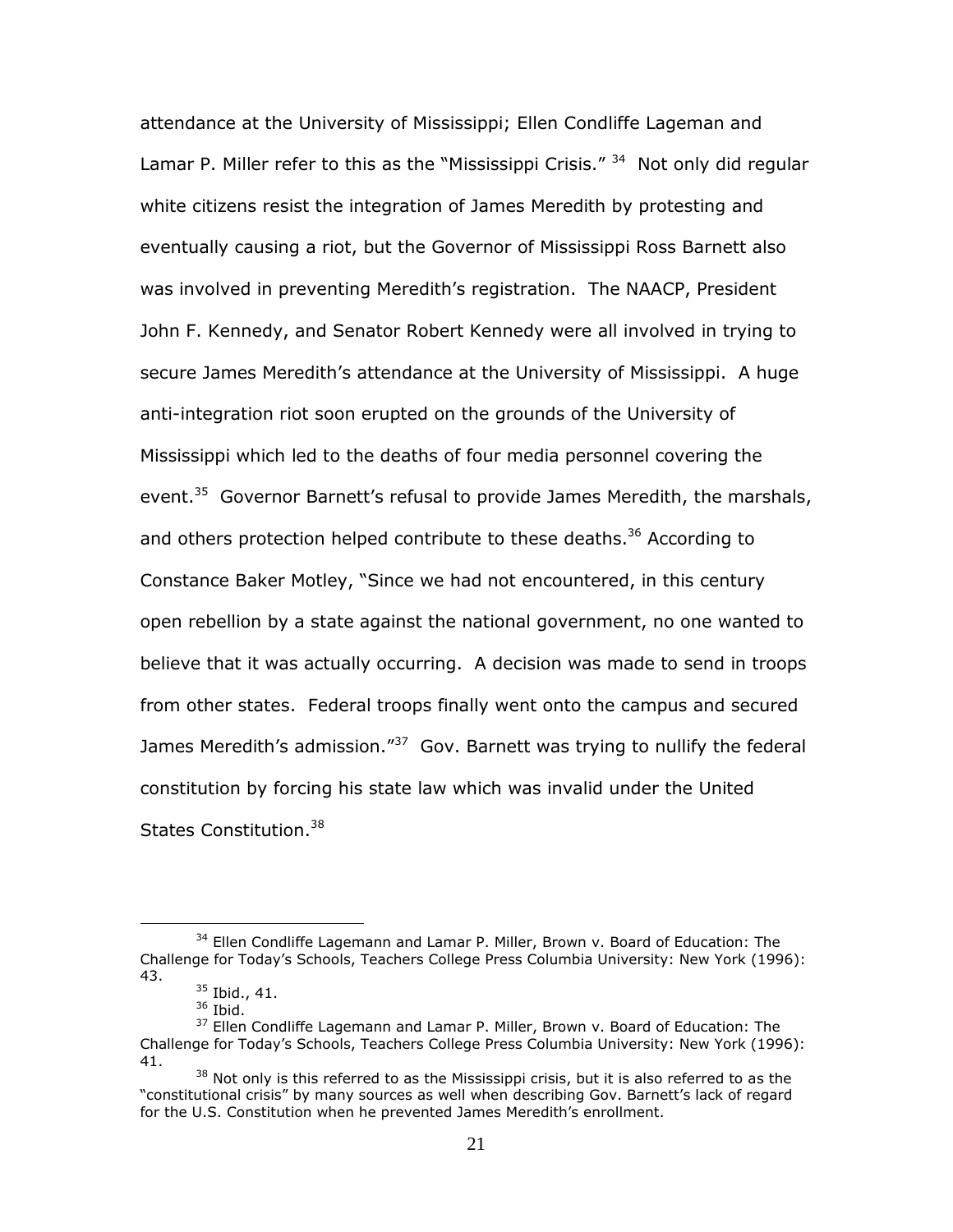attendance at the University of Mississippi; Ellen Condliffe Lageman and Lamar P. Miller refer to this as the "Mississippi Crisis." <sup>34</sup> Not only did regular white citizens resist the integration of James Meredith by protesting and eventually causing a riot, but the Governor of Mississippi Ross Barnett also was involved in preventing Meredith's registration. The NAACP, President John F. Kennedy, and Senator Robert Kennedy were all involved in trying to secure James Meredith's attendance at the University of Mississippi. A huge anti-integration riot soon erupted on the grounds of the University of Mississippi which led to the deaths of four media personnel covering the event.<sup>35</sup> Governor Barnett's refusal to provide James Meredith, the marshals, and others protection helped contribute to these deaths.<sup>36</sup> According to Constance Baker Motley, "Since we had not encountered, in this century open rebellion by a state against the national government, no one wanted to believe that it was actually occurring. A decision was made to send in troops from other states. Federal troops finally went onto the campus and secured James Meredith's admission."<sup>37</sup> Gov. Barnett was trying to nullify the federal constitution by forcing his state law which was invalid under the United States Constitution.<sup>38</sup>

<sup>&</sup>lt;sup>34</sup> Ellen Condliffe Lagemann and Lamar P. Miller, Brown v. Board of Education: The Challenge for Today"s Schools, Teachers College Press Columbia University: New York (1996): 43.

<sup>&</sup>lt;sup>35</sup> Ibid., 41.

<sup>36</sup> Ibid.

 $37$  Ellen Condliffe Lagemann and Lamar P. Miller, Brown v. Board of Education: The Challenge for Today"s Schools, Teachers College Press Columbia University: New York (1996): 41.

<sup>&</sup>lt;sup>38</sup> Not only is this referred to as the Mississippi crisis, but it is also referred to as the "constitutional crisis" by many sources as well when describing Gov. Barnett's lack of regard for the U.S. Constitution when he prevented James Meredith's enrollment.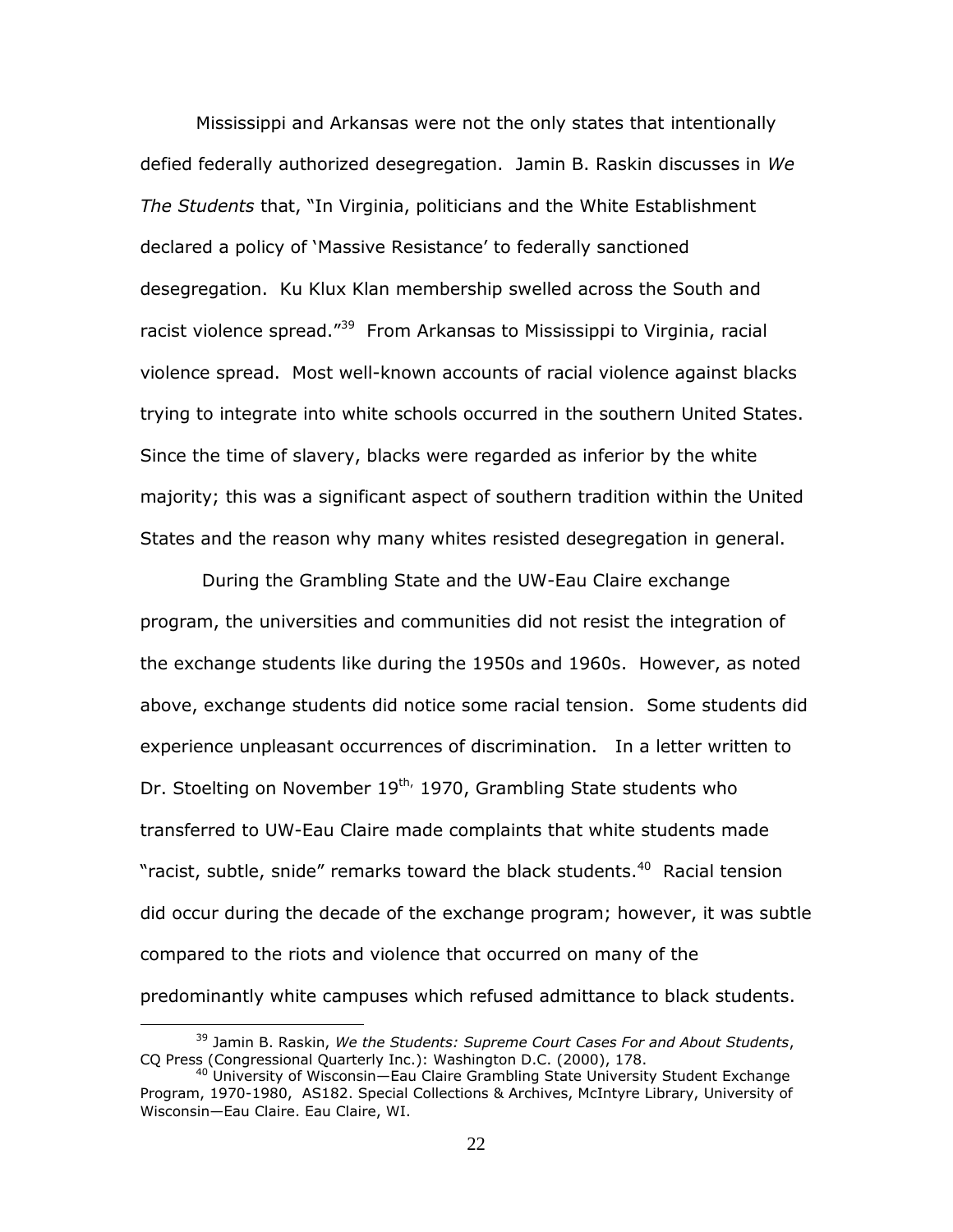Mississippi and Arkansas were not the only states that intentionally defied federally authorized desegregation. Jamin B. Raskin discusses in *We The Students* that, "In Virginia, politicians and the White Establishment declared a policy of "Massive Resistance" to federally sanctioned desegregation. Ku Klux Klan membership swelled across the South and racist violence spread."<sup>39</sup> From Arkansas to Mississippi to Virginia, racial violence spread. Most well-known accounts of racial violence against blacks trying to integrate into white schools occurred in the southern United States. Since the time of slavery, blacks were regarded as inferior by the white majority; this was a significant aspect of southern tradition within the United States and the reason why many whites resisted desegregation in general.

During the Grambling State and the UW-Eau Claire exchange program, the universities and communities did not resist the integration of the exchange students like during the 1950s and 1960s. However, as noted above, exchange students did notice some racial tension. Some students did experience unpleasant occurrences of discrimination. In a letter written to Dr. Stoelting on November 19<sup>th,</sup> 1970, Grambling State students who transferred to UW-Eau Claire made complaints that white students made "racist, subtle, snide" remarks toward the black students.<sup>40</sup> Racial tension did occur during the decade of the exchange program; however, it was subtle compared to the riots and violence that occurred on many of the predominantly white campuses which refused admittance to black students.

<sup>39</sup> Jamin B. Raskin, *We the Students: Supreme Court Cases For and About Students*, CQ Press (Congressional Quarterly Inc.): Washington D.C. (2000), 178.

<sup>&</sup>lt;sup>40</sup> University of Wisconsin-Eau Claire Grambling State University Student Exchange Program, 1970-1980, AS182. Special Collections & Archives, McIntyre Library, University of Wisconsin—Eau Claire. Eau Claire, WI.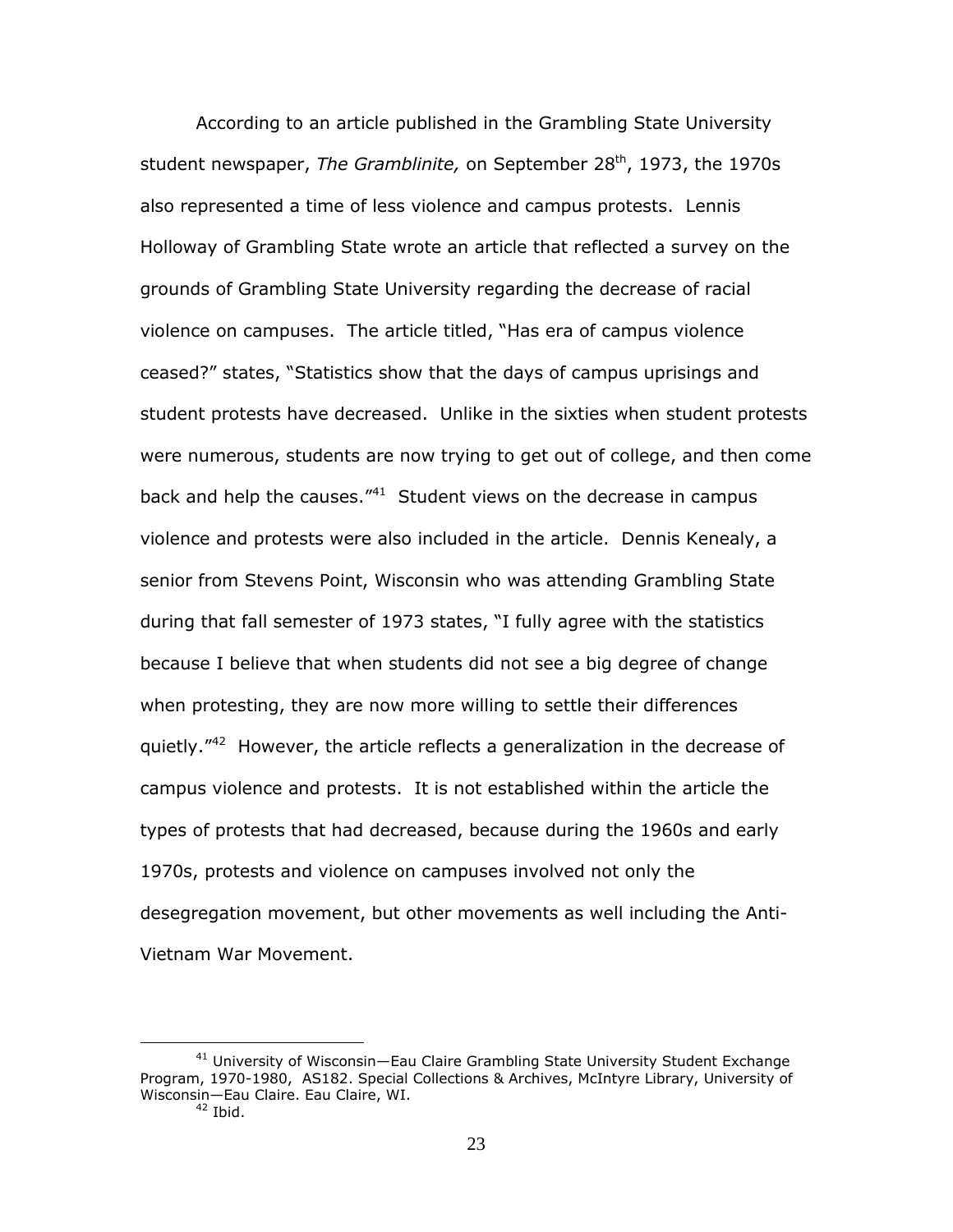According to an article published in the Grambling State University student newspaper, *The Gramblinite*, on September 28<sup>th</sup>, 1973, the 1970s also represented a time of less violence and campus protests. Lennis Holloway of Grambling State wrote an article that reflected a survey on the grounds of Grambling State University regarding the decrease of racial violence on campuses. The article titled, "Has era of campus violence ceased?" states, "Statistics show that the days of campus uprisings and student protests have decreased. Unlike in the sixties when student protests were numerous, students are now trying to get out of college, and then come back and help the causes."<sup>41</sup> Student views on the decrease in campus violence and protests were also included in the article. Dennis Kenealy, a senior from Stevens Point, Wisconsin who was attending Grambling State during that fall semester of 1973 states, "I fully agree with the statistics because I believe that when students did not see a big degree of change when protesting, they are now more willing to settle their differences quietly."<sup>42</sup> However, the article reflects a generalization in the decrease of campus violence and protests. It is not established within the article the types of protests that had decreased, because during the 1960s and early 1970s, protests and violence on campuses involved not only the desegregation movement, but other movements as well including the Anti-Vietnam War Movement.

<sup>&</sup>lt;sup>41</sup> University of Wisconsin-Eau Claire Grambling State University Student Exchange Program, 1970-1980, AS182. Special Collections & Archives, McIntyre Library, University of Wisconsin—Eau Claire. Eau Claire, WI.

 $42$  Ibid.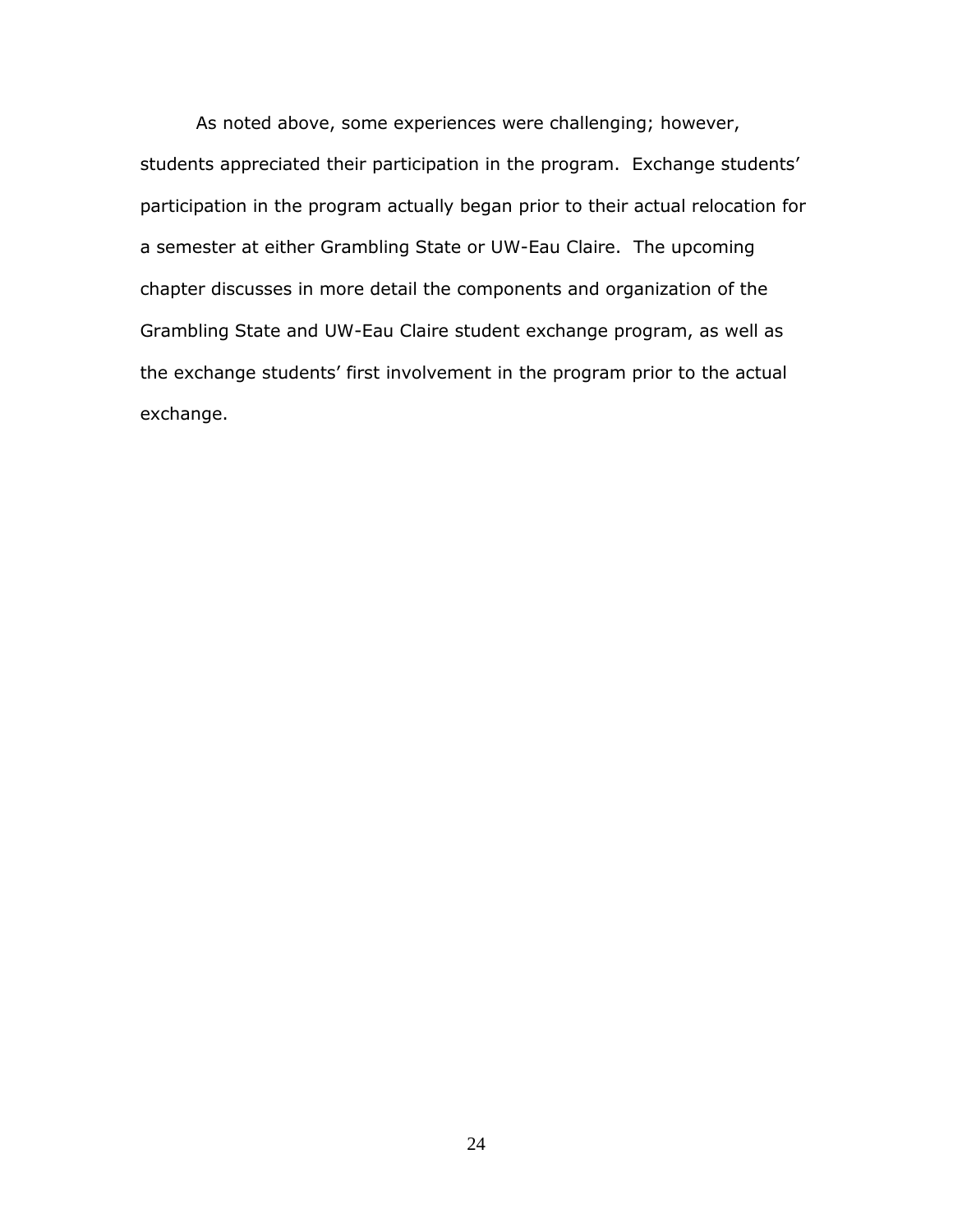As noted above, some experiences were challenging; however, students appreciated their participation in the program. Exchange students' participation in the program actually began prior to their actual relocation for a semester at either Grambling State or UW-Eau Claire. The upcoming chapter discusses in more detail the components and organization of the Grambling State and UW-Eau Claire student exchange program, as well as the exchange students' first involvement in the program prior to the actual exchange.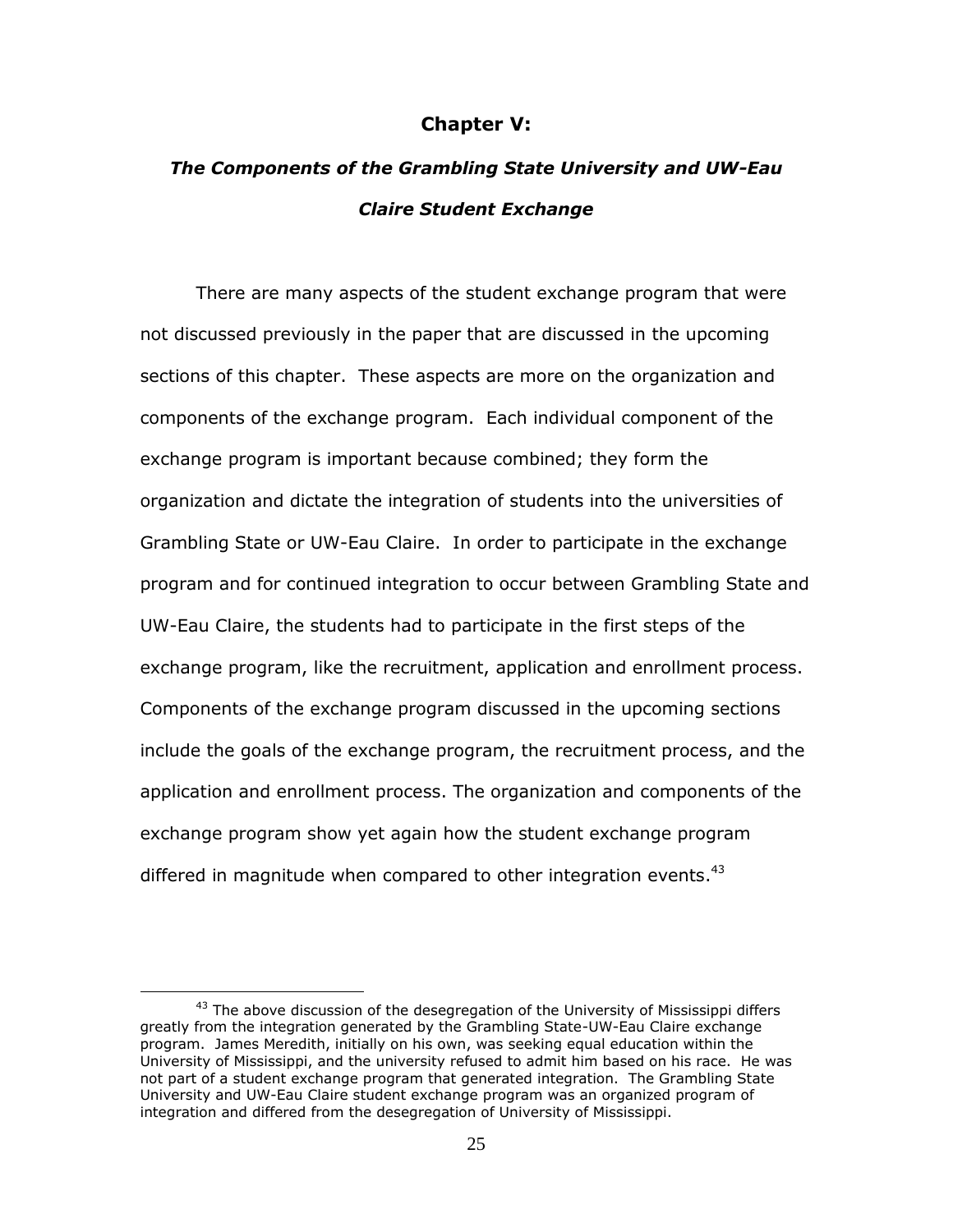#### **Chapter V:**

## *The Components of the Grambling State University and UW-Eau Claire Student Exchange*

There are many aspects of the student exchange program that were not discussed previously in the paper that are discussed in the upcoming sections of this chapter. These aspects are more on the organization and components of the exchange program. Each individual component of the exchange program is important because combined; they form the organization and dictate the integration of students into the universities of Grambling State or UW-Eau Claire. In order to participate in the exchange program and for continued integration to occur between Grambling State and UW-Eau Claire, the students had to participate in the first steps of the exchange program, like the recruitment, application and enrollment process. Components of the exchange program discussed in the upcoming sections include the goals of the exchange program, the recruitment process, and the application and enrollment process. The organization and components of the exchange program show yet again how the student exchange program differed in magnitude when compared to other integration events. $43$ 

<sup>&</sup>lt;sup>43</sup> The above discussion of the desegregation of the University of Mississippi differs greatly from the integration generated by the Grambling State-UW-Eau Claire exchange program. James Meredith, initially on his own, was seeking equal education within the University of Mississippi, and the university refused to admit him based on his race. He was not part of a student exchange program that generated integration. The Grambling State University and UW-Eau Claire student exchange program was an organized program of integration and differed from the desegregation of University of Mississippi.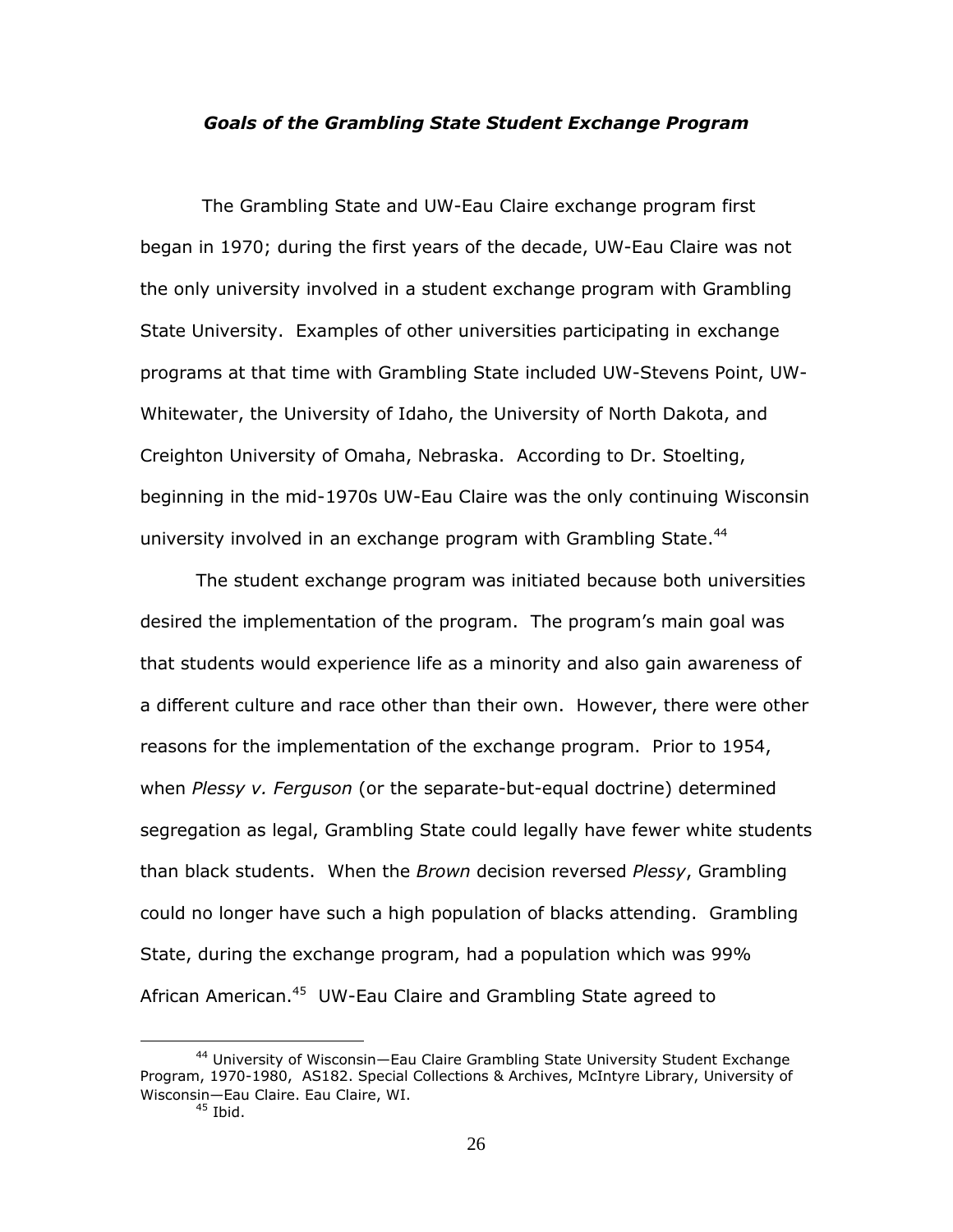#### *Goals of the Grambling State Student Exchange Program*

The Grambling State and UW-Eau Claire exchange program first began in 1970; during the first years of the decade, UW-Eau Claire was not the only university involved in a student exchange program with Grambling State University. Examples of other universities participating in exchange programs at that time with Grambling State included UW-Stevens Point, UW-Whitewater, the University of Idaho, the University of North Dakota, and Creighton University of Omaha, Nebraska. According to Dr. Stoelting, beginning in the mid-1970s UW-Eau Claire was the only continuing Wisconsin university involved in an exchange program with Grambling State.<sup>44</sup>

The student exchange program was initiated because both universities desired the implementation of the program. The program"s main goal was that students would experience life as a minority and also gain awareness of a different culture and race other than their own. However, there were other reasons for the implementation of the exchange program. Prior to 1954, when *Plessy v. Ferguson* (or the separate-but-equal doctrine) determined segregation as legal, Grambling State could legally have fewer white students than black students. When the *Brown* decision reversed *Plessy*, Grambling could no longer have such a high population of blacks attending. Grambling State, during the exchange program, had a population which was 99% African American.<sup>45</sup> UW-Eau Claire and Grambling State agreed to

<sup>44</sup> University of Wisconsin—Eau Claire Grambling State University Student Exchange Program, 1970-1980, AS182. Special Collections & Archives, McIntyre Library, University of Wisconsin—Eau Claire. Eau Claire, WI.

 $45$  Ibid.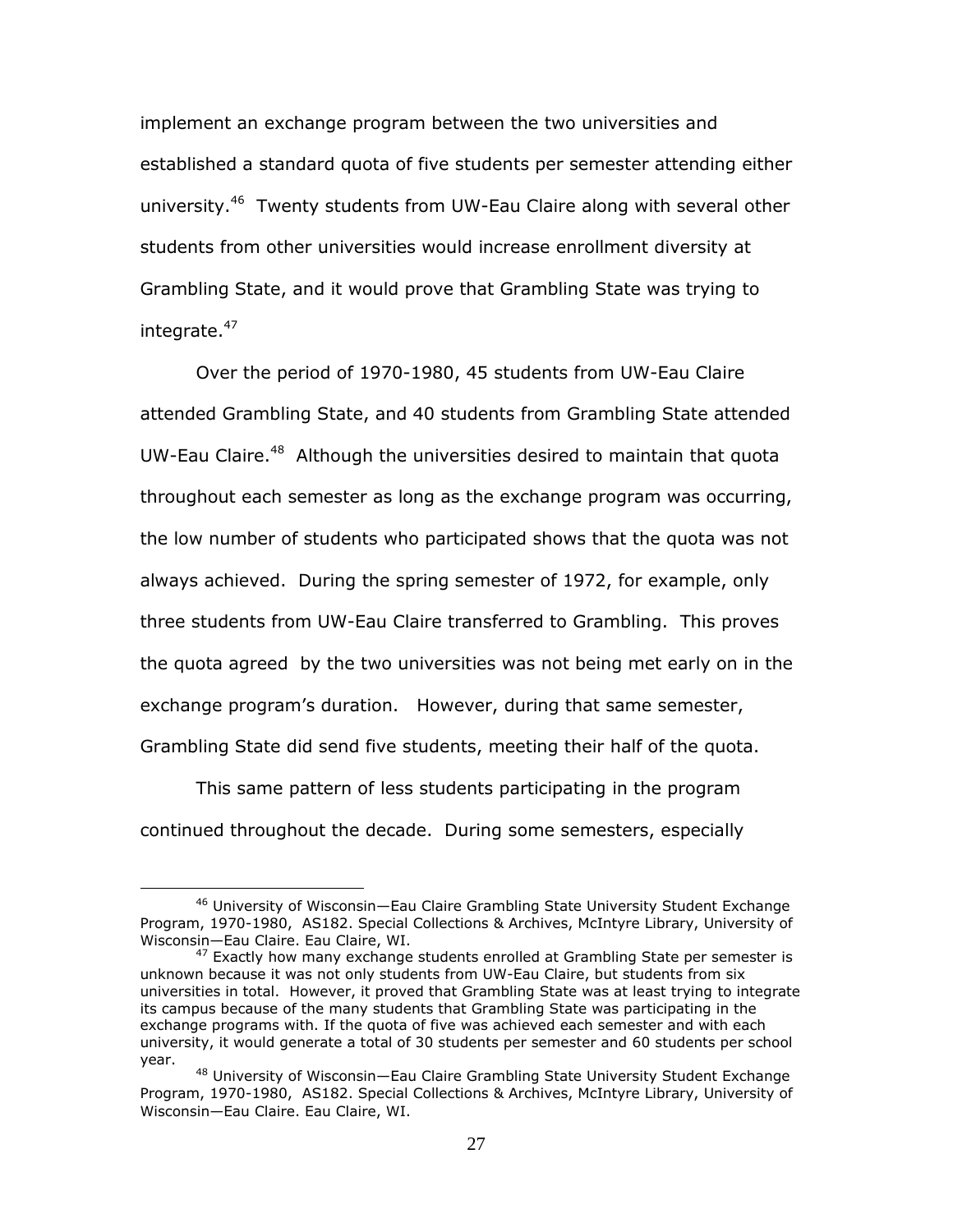implement an exchange program between the two universities and established a standard quota of five students per semester attending either university.<sup>46</sup> Twenty students from UW-Eau Claire along with several other students from other universities would increase enrollment diversity at Grambling State, and it would prove that Grambling State was trying to integrate.<sup>47</sup>

Over the period of 1970-1980, 45 students from UW-Eau Claire attended Grambling State, and 40 students from Grambling State attended UW-Eau Claire.<sup>48</sup> Although the universities desired to maintain that quota throughout each semester as long as the exchange program was occurring, the low number of students who participated shows that the quota was not always achieved. During the spring semester of 1972, for example, only three students from UW-Eau Claire transferred to Grambling. This proves the quota agreed by the two universities was not being met early on in the exchange program's duration. However, during that same semester, Grambling State did send five students, meeting their half of the quota.

This same pattern of less students participating in the program continued throughout the decade. During some semesters, especially

<sup>46</sup> University of Wisconsin—Eau Claire Grambling State University Student Exchange Program, 1970-1980, AS182. Special Collections & Archives, McIntyre Library, University of Wisconsin—Eau Claire. Eau Claire, WI.

 $47$  Exactly how many exchange students enrolled at Grambling State per semester is unknown because it was not only students from UW-Eau Claire, but students from six universities in total. However, it proved that Grambling State was at least trying to integrate its campus because of the many students that Grambling State was participating in the exchange programs with. If the quota of five was achieved each semester and with each university, it would generate a total of 30 students per semester and 60 students per school year.

<sup>&</sup>lt;sup>48</sup> University of Wisconsin—Eau Claire Grambling State University Student Exchange Program, 1970-1980, AS182. Special Collections & Archives, McIntyre Library, University of Wisconsin—Eau Claire. Eau Claire, WI.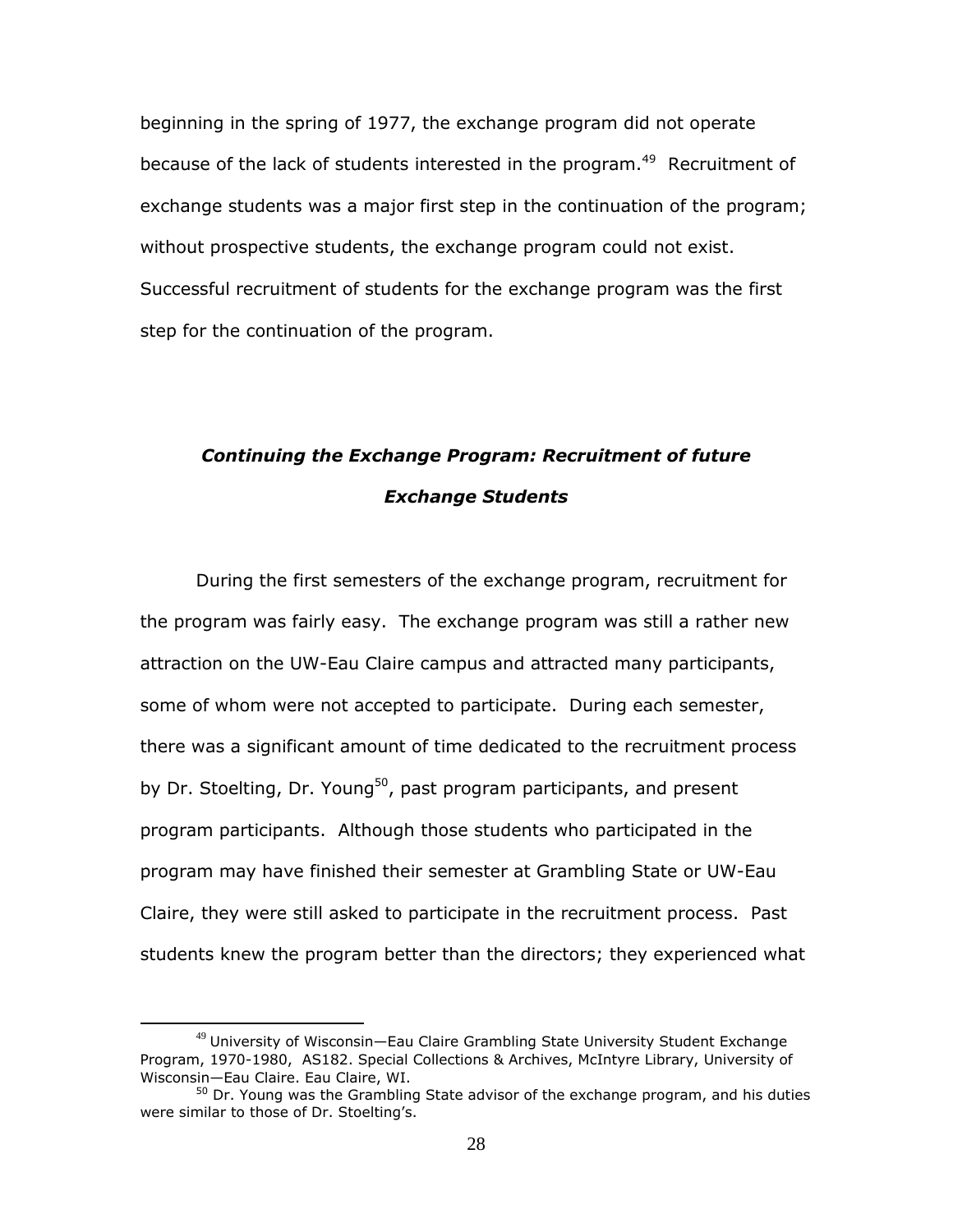beginning in the spring of 1977, the exchange program did not operate because of the lack of students interested in the program.<sup>49</sup> Recruitment of exchange students was a major first step in the continuation of the program; without prospective students, the exchange program could not exist. Successful recruitment of students for the exchange program was the first step for the continuation of the program.

## *Continuing the Exchange Program: Recruitment of future Exchange Students*

During the first semesters of the exchange program, recruitment for the program was fairly easy. The exchange program was still a rather new attraction on the UW-Eau Claire campus and attracted many participants, some of whom were not accepted to participate. During each semester, there was a significant amount of time dedicated to the recruitment process by Dr. Stoelting, Dr. Young<sup>50</sup>, past program participants, and present program participants. Although those students who participated in the program may have finished their semester at Grambling State or UW-Eau Claire, they were still asked to participate in the recruitment process. Past students knew the program better than the directors; they experienced what

<sup>&</sup>lt;sup>49</sup> University of Wisconsin—Eau Claire Grambling State University Student Exchange Program, 1970-1980, AS182. Special Collections & Archives, McIntyre Library, University of Wisconsin—Eau Claire. Eau Claire, WI.

 $50$  Dr. Young was the Grambling State advisor of the exchange program, and his duties were similar to those of Dr. Stoelting's.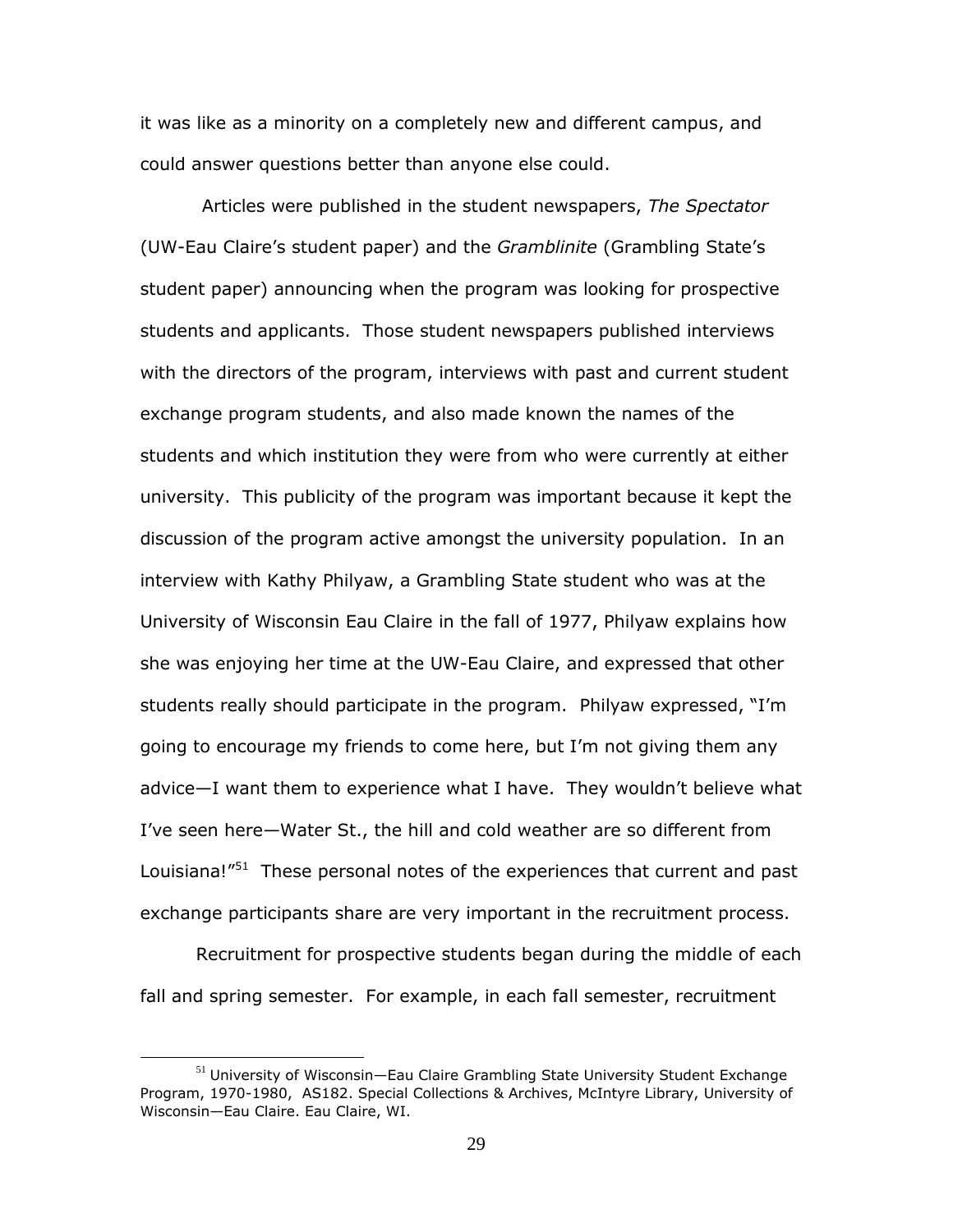it was like as a minority on a completely new and different campus, and could answer questions better than anyone else could.

Articles were published in the student newspapers, *The Spectator* (UW-Eau Claire"s student paper) and the *Gramblinite* (Grambling State"s student paper) announcing when the program was looking for prospective students and applicants. Those student newspapers published interviews with the directors of the program, interviews with past and current student exchange program students, and also made known the names of the students and which institution they were from who were currently at either university. This publicity of the program was important because it kept the discussion of the program active amongst the university population. In an interview with Kathy Philyaw, a Grambling State student who was at the University of Wisconsin Eau Claire in the fall of 1977, Philyaw explains how she was enjoying her time at the UW-Eau Claire, and expressed that other students really should participate in the program. Philyaw expressed, "I"m going to encourage my friends to come here, but I"m not giving them any advice—I want them to experience what I have. They wouldn"t believe what I"ve seen here—Water St., the hill and cold weather are so different from Louisiana!"<sup>51</sup> These personal notes of the experiences that current and past exchange participants share are very important in the recruitment process.

Recruitment for prospective students began during the middle of each fall and spring semester. For example, in each fall semester, recruitment

<sup>&</sup>lt;sup>51</sup> University of Wisconsin—Eau Claire Grambling State University Student Exchange Program, 1970-1980, AS182. Special Collections & Archives, McIntyre Library, University of Wisconsin—Eau Claire. Eau Claire, WI.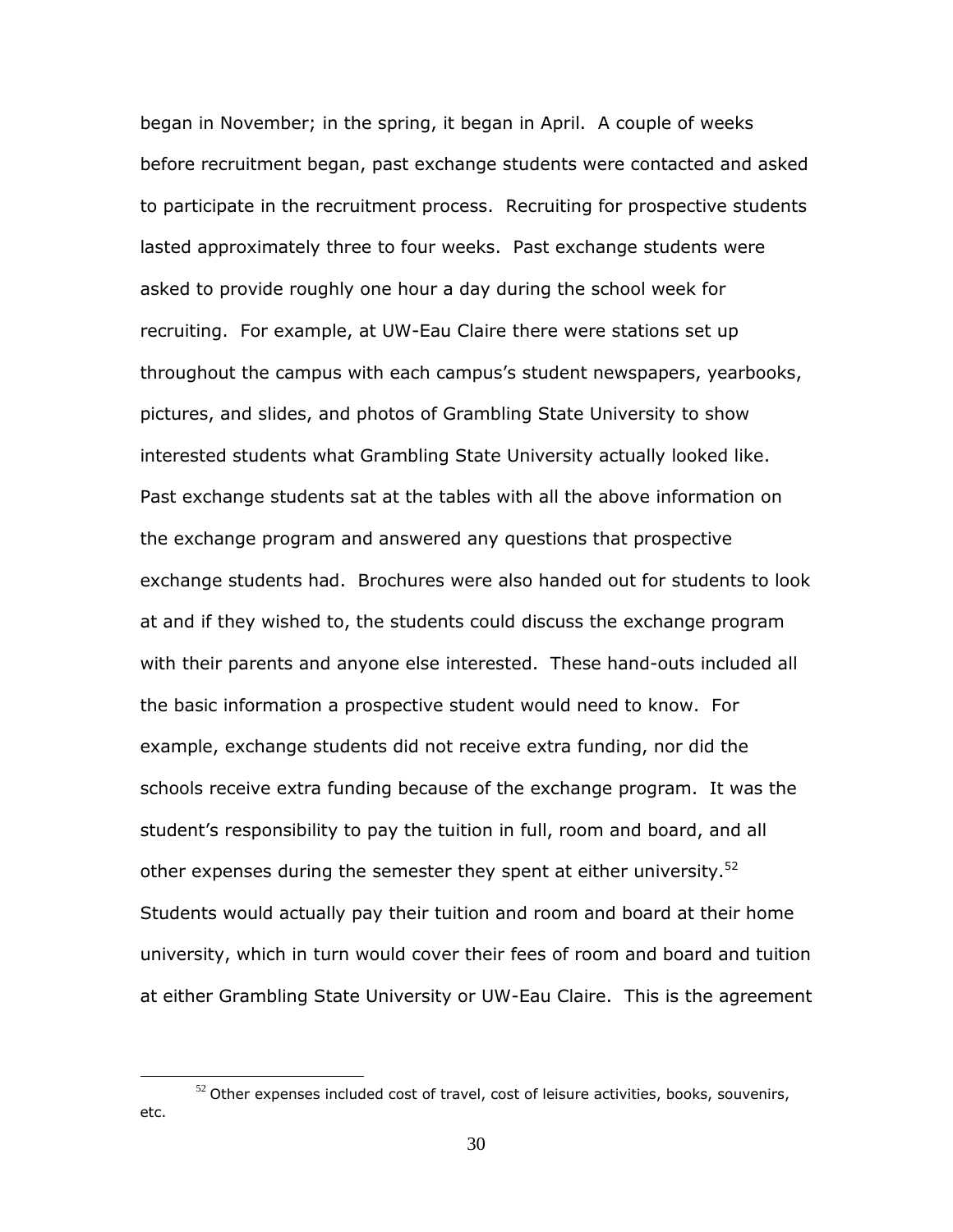began in November; in the spring, it began in April. A couple of weeks before recruitment began, past exchange students were contacted and asked to participate in the recruitment process. Recruiting for prospective students lasted approximately three to four weeks. Past exchange students were asked to provide roughly one hour a day during the school week for recruiting. For example, at UW-Eau Claire there were stations set up throughout the campus with each campus"s student newspapers, yearbooks, pictures, and slides, and photos of Grambling State University to show interested students what Grambling State University actually looked like. Past exchange students sat at the tables with all the above information on the exchange program and answered any questions that prospective exchange students had. Brochures were also handed out for students to look at and if they wished to, the students could discuss the exchange program with their parents and anyone else interested. These hand-outs included all the basic information a prospective student would need to know. For example, exchange students did not receive extra funding, nor did the schools receive extra funding because of the exchange program. It was the student"s responsibility to pay the tuition in full, room and board, and all other expenses during the semester they spent at either university.<sup>52</sup> Students would actually pay their tuition and room and board at their home university, which in turn would cover their fees of room and board and tuition at either Grambling State University or UW-Eau Claire. This is the agreement

 $52$  Other expenses included cost of travel, cost of leisure activities, books, souvenirs, etc.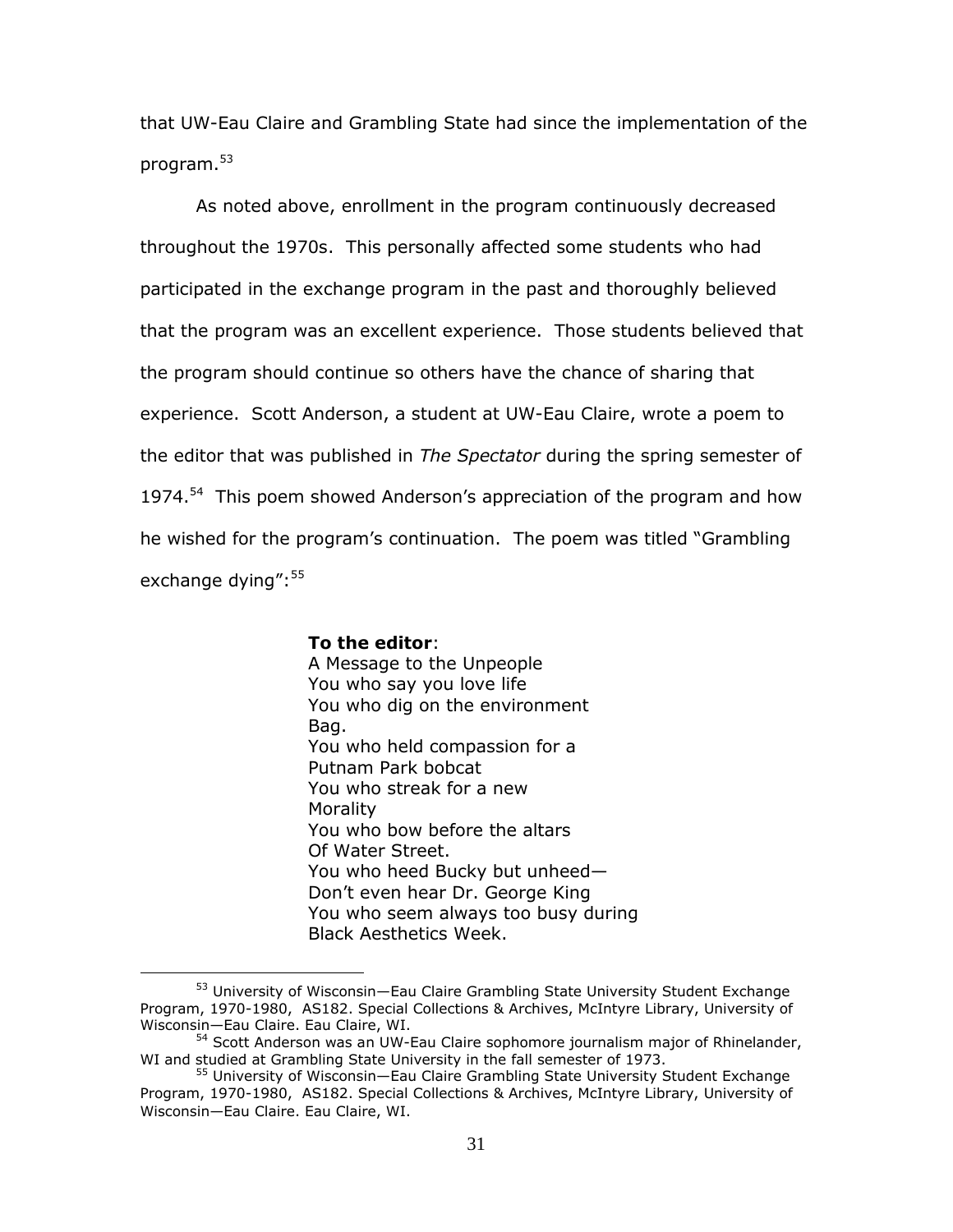that UW-Eau Claire and Grambling State had since the implementation of the program. 53

As noted above, enrollment in the program continuously decreased throughout the 1970s. This personally affected some students who had participated in the exchange program in the past and thoroughly believed that the program was an excellent experience. Those students believed that the program should continue so others have the chance of sharing that experience. Scott Anderson, a student at UW-Eau Claire, wrote a poem to the editor that was published in *The Spectator* during the spring semester of 1974.<sup>54</sup> This poem showed Anderson's appreciation of the program and how he wished for the program's continuation. The poem was titled "Grambling exchange dying": 55

> **To the editor**: A Message to the Unpeople You who say you love life You who dig on the environment Bag. You who held compassion for a Putnam Park bobcat You who streak for a new Morality You who bow before the altars Of Water Street. You who heed Bucky but unheed— Don"t even hear Dr. George King You who seem always too busy during Black Aesthetics Week.

<sup>&</sup>lt;sup>53</sup> University of Wisconsin—Eau Claire Grambling State University Student Exchange Program, 1970-1980, AS182. Special Collections & Archives, McIntyre Library, University of Wisconsin—Eau Claire. Eau Claire, WI.

<sup>&</sup>lt;sup>54</sup> Scott Anderson was an UW-Eau Claire sophomore journalism major of Rhinelander, WI and studied at Grambling State University in the fall semester of 1973.

<sup>&</sup>lt;sup>55</sup> University of Wisconsin—Eau Claire Grambling State University Student Exchange Program, 1970-1980, AS182. Special Collections & Archives, McIntyre Library, University of Wisconsin—Eau Claire. Eau Claire, WI.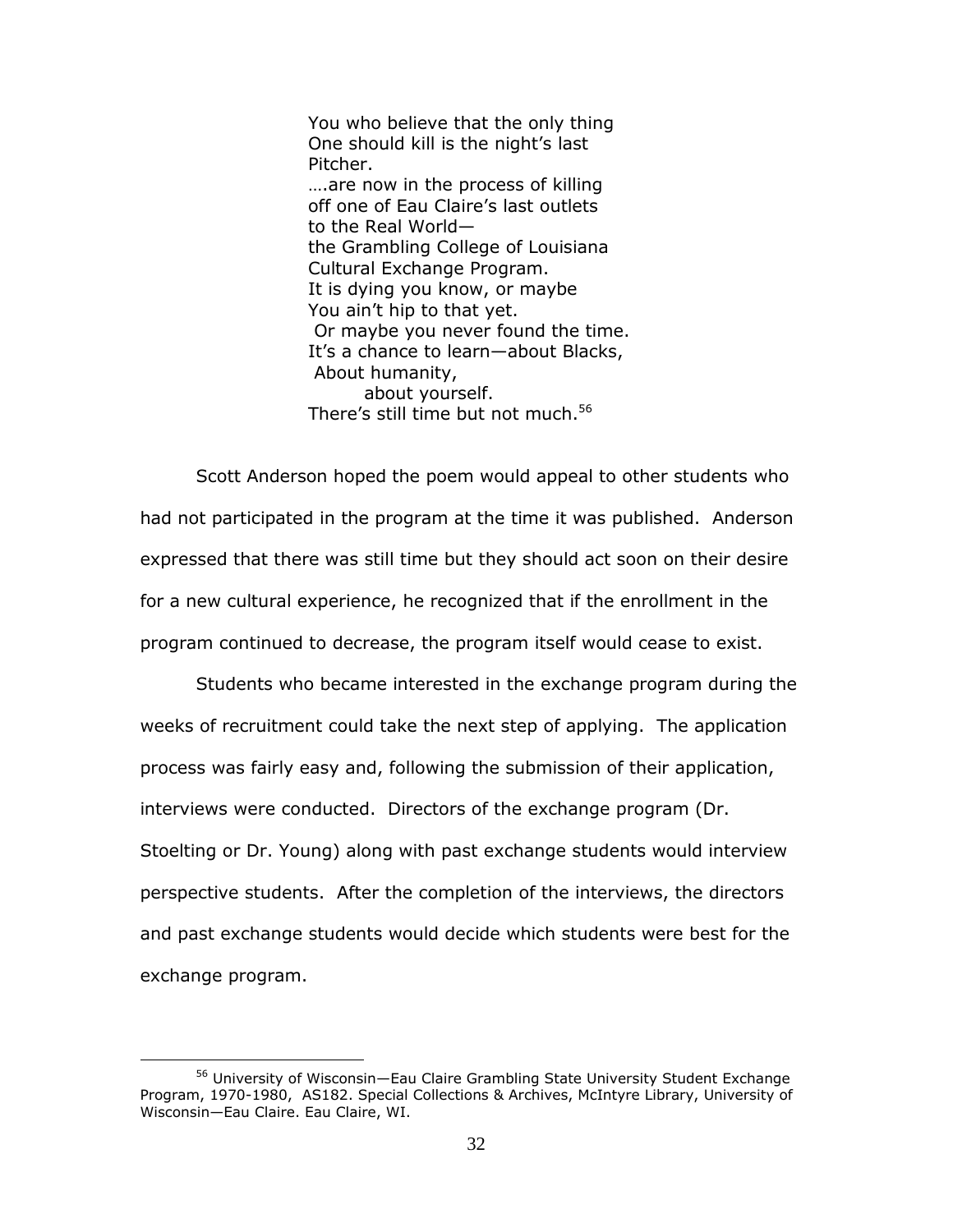You who believe that the only thing One should kill is the night's last Pitcher. ….are now in the process of killing off one of Eau Claire's last outlets to the Real World the Grambling College of Louisiana Cultural Exchange Program. It is dying you know, or maybe You ain"t hip to that yet. Or maybe you never found the time. It's a chance to learn-about Blacks, About humanity, about yourself. There's still time but not much.<sup>56</sup>

Scott Anderson hoped the poem would appeal to other students who had not participated in the program at the time it was published. Anderson expressed that there was still time but they should act soon on their desire for a new cultural experience, he recognized that if the enrollment in the program continued to decrease, the program itself would cease to exist.

Students who became interested in the exchange program during the weeks of recruitment could take the next step of applying. The application process was fairly easy and, following the submission of their application, interviews were conducted. Directors of the exchange program (Dr. Stoelting or Dr. Young) along with past exchange students would interview perspective students. After the completion of the interviews, the directors and past exchange students would decide which students were best for the exchange program.

<sup>56</sup> University of Wisconsin—Eau Claire Grambling State University Student Exchange Program, 1970-1980, AS182. Special Collections & Archives, McIntyre Library, University of Wisconsin—Eau Claire. Eau Claire, WI.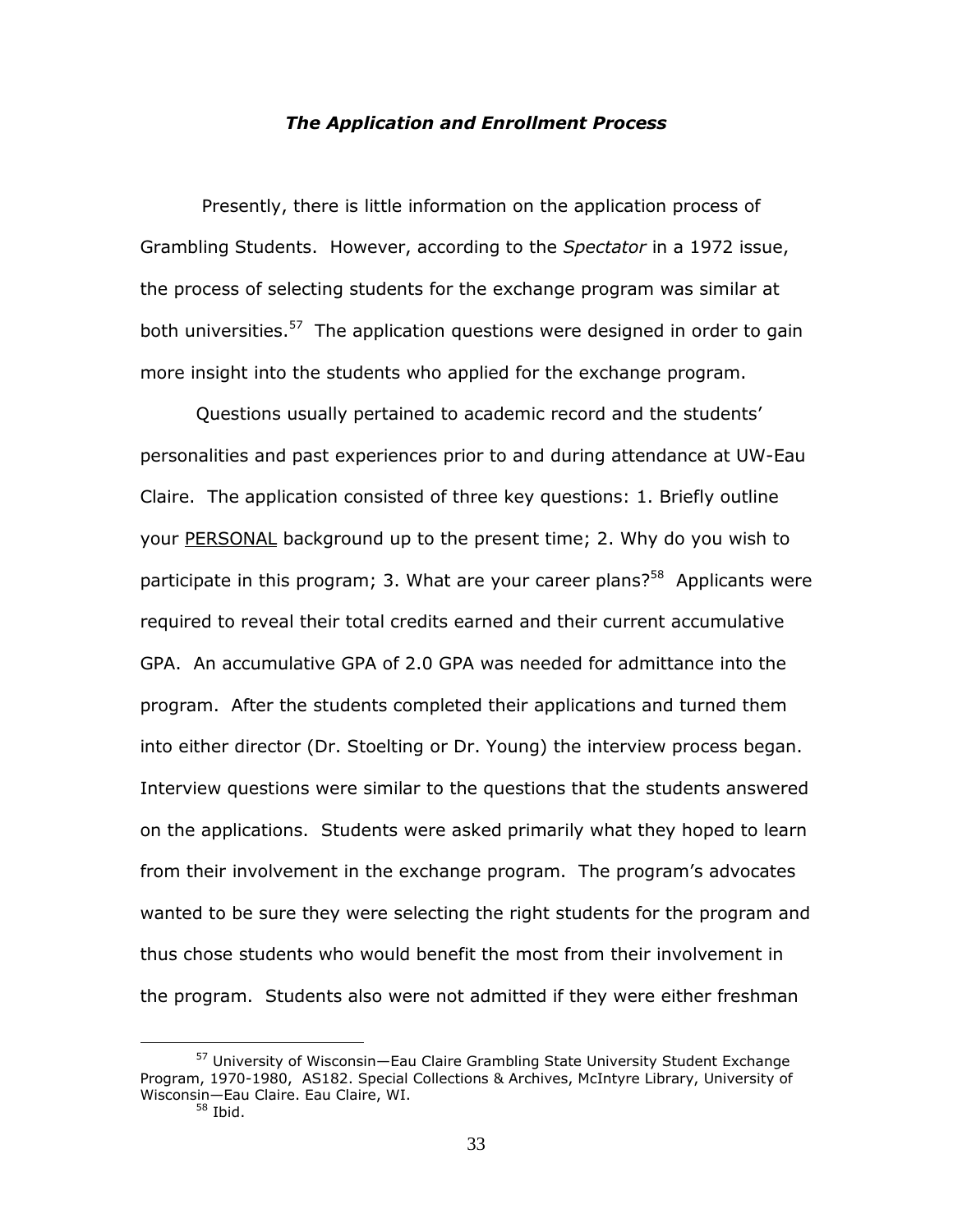#### *The Application and Enrollment Process*

Presently, there is little information on the application process of Grambling Students. However, according to the *Spectator* in a 1972 issue, the process of selecting students for the exchange program was similar at both universities.<sup>57</sup> The application questions were designed in order to gain more insight into the students who applied for the exchange program.

Questions usually pertained to academic record and the students" personalities and past experiences prior to and during attendance at UW-Eau Claire. The application consisted of three key questions: 1. Briefly outline your PERSONAL background up to the present time; 2. Why do you wish to participate in this program; 3. What are your career plans?<sup>58</sup> Applicants were required to reveal their total credits earned and their current accumulative GPA. An accumulative GPA of 2.0 GPA was needed for admittance into the program. After the students completed their applications and turned them into either director (Dr. Stoelting or Dr. Young) the interview process began. Interview questions were similar to the questions that the students answered on the applications. Students were asked primarily what they hoped to learn from their involvement in the exchange program. The program"s advocates wanted to be sure they were selecting the right students for the program and thus chose students who would benefit the most from their involvement in the program. Students also were not admitted if they were either freshman

<sup>&</sup>lt;sup>57</sup> University of Wisconsin-Eau Claire Grambling State University Student Exchange Program, 1970-1980, AS182. Special Collections & Archives, McIntyre Library, University of Wisconsin—Eau Claire. Eau Claire, WI.

<sup>58</sup> Ibid.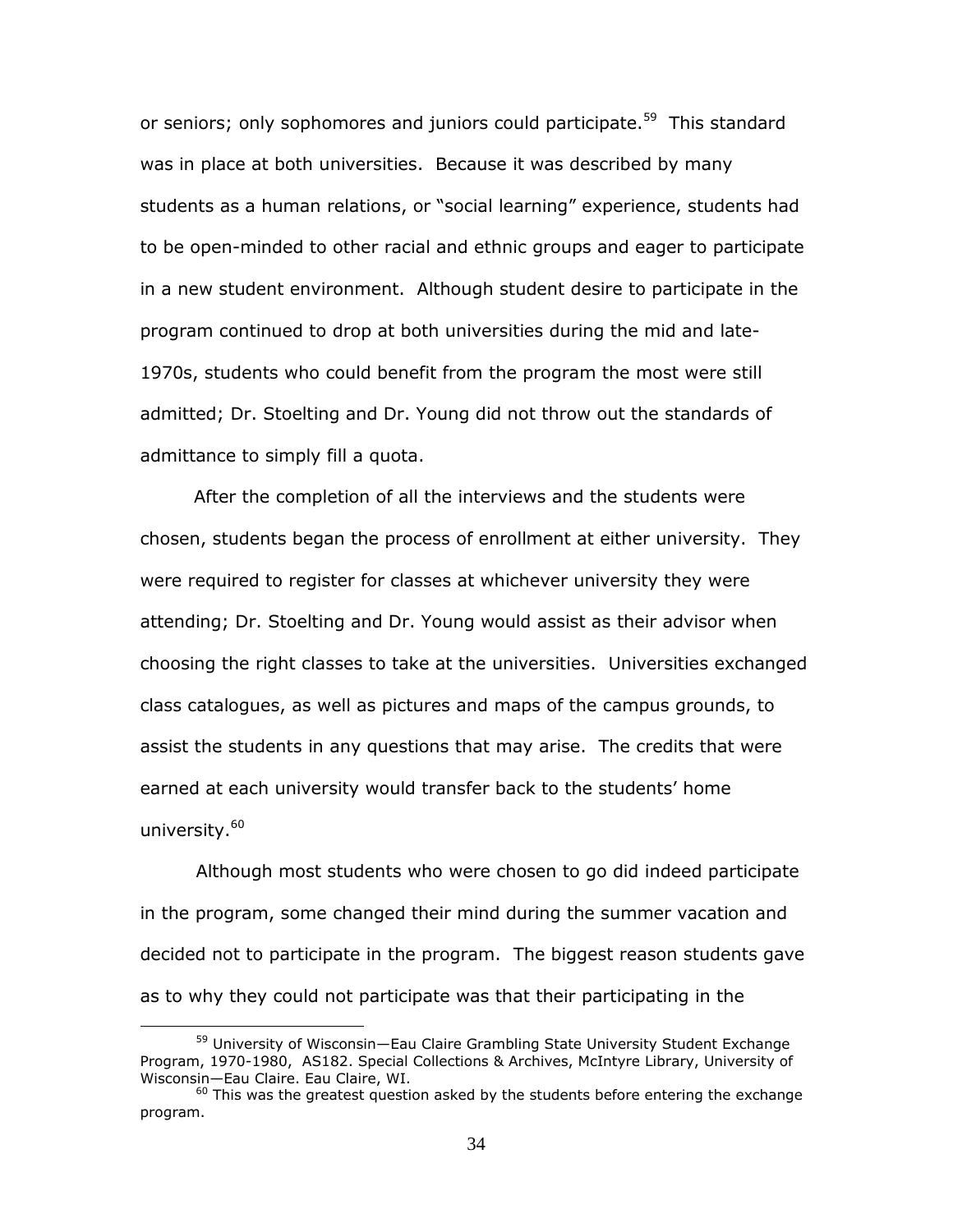or seniors; only sophomores and juniors could participate.<sup>59</sup> This standard was in place at both universities. Because it was described by many students as a human relations, or "social learning" experience, students had to be open-minded to other racial and ethnic groups and eager to participate in a new student environment. Although student desire to participate in the program continued to drop at both universities during the mid and late-1970s, students who could benefit from the program the most were still admitted; Dr. Stoelting and Dr. Young did not throw out the standards of admittance to simply fill a quota.

 After the completion of all the interviews and the students were chosen, students began the process of enrollment at either university. They were required to register for classes at whichever university they were attending; Dr. Stoelting and Dr. Young would assist as their advisor when choosing the right classes to take at the universities. Universities exchanged class catalogues, as well as pictures and maps of the campus grounds, to assist the students in any questions that may arise. The credits that were earned at each university would transfer back to the students' home university.<sup>60</sup>

Although most students who were chosen to go did indeed participate in the program, some changed their mind during the summer vacation and decided not to participate in the program. The biggest reason students gave as to why they could not participate was that their participating in the

<sup>&</sup>lt;sup>59</sup> University of Wisconsin-Eau Claire Grambling State University Student Exchange Program, 1970-1980, AS182. Special Collections & Archives, McIntyre Library, University of Wisconsin—Eau Claire. Eau Claire, WI.

 $60$  This was the greatest question asked by the students before entering the exchange program.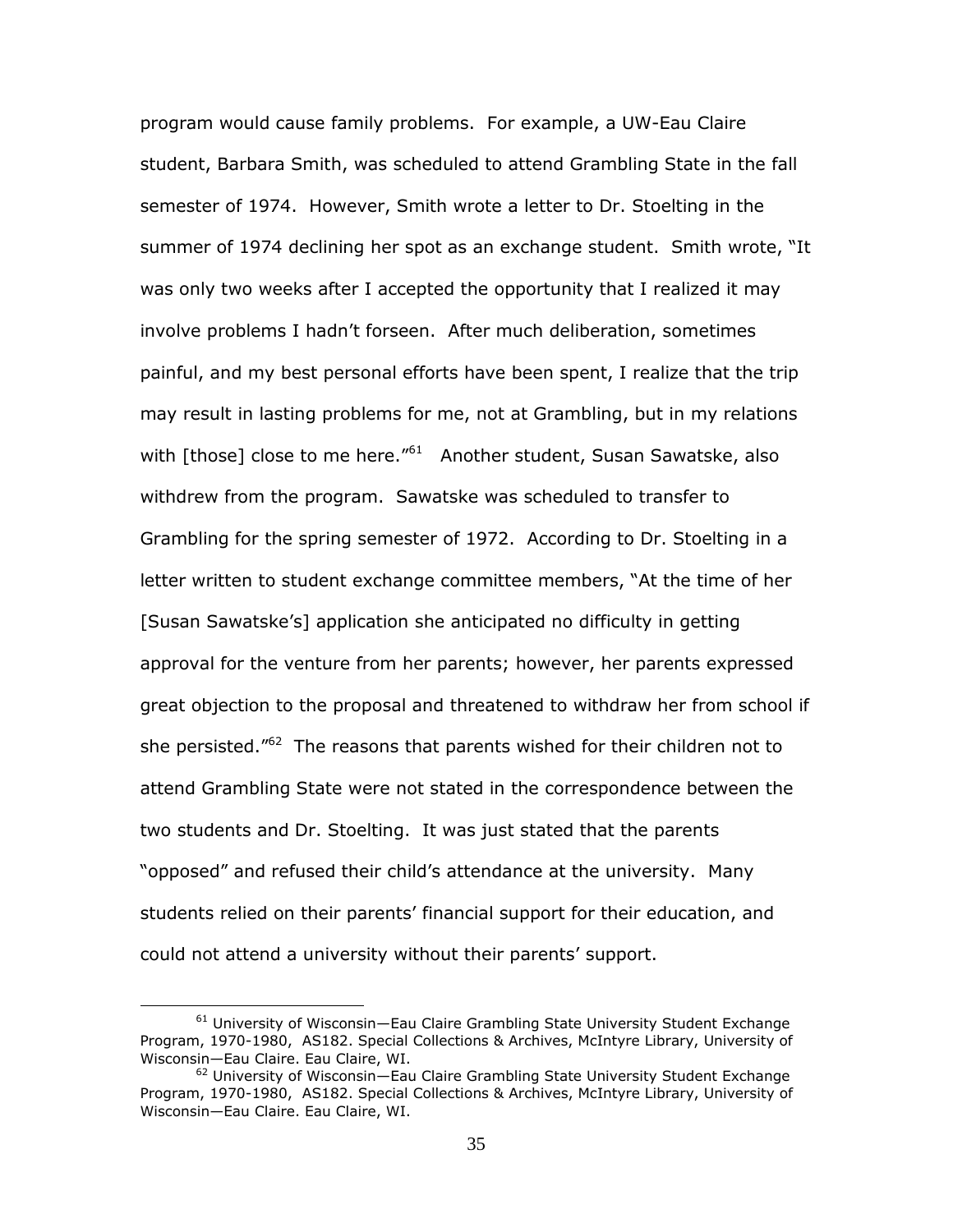program would cause family problems. For example, a UW-Eau Claire student, Barbara Smith, was scheduled to attend Grambling State in the fall semester of 1974. However, Smith wrote a letter to Dr. Stoelting in the summer of 1974 declining her spot as an exchange student. Smith wrote, "It was only two weeks after I accepted the opportunity that I realized it may involve problems I hadn"t forseen. After much deliberation, sometimes painful, and my best personal efforts have been spent, I realize that the trip may result in lasting problems for me, not at Grambling, but in my relations with [those] close to me here."<sup>61</sup> Another student, Susan Sawatske, also withdrew from the program. Sawatske was scheduled to transfer to Grambling for the spring semester of 1972. According to Dr. Stoelting in a letter written to student exchange committee members, "At the time of her [Susan Sawatske's] application she anticipated no difficulty in getting approval for the venture from her parents; however, her parents expressed great objection to the proposal and threatened to withdraw her from school if she persisted."<sup>62</sup> The reasons that parents wished for their children not to attend Grambling State were not stated in the correspondence between the two students and Dr. Stoelting. It was just stated that the parents "opposed" and refused their child"s attendance at the university. Many students relied on their parents' financial support for their education, and could not attend a university without their parents' support.

<sup>61</sup> University of Wisconsin—Eau Claire Grambling State University Student Exchange Program, 1970-1980, AS182. Special Collections & Archives, McIntyre Library, University of Wisconsin—Eau Claire. Eau Claire, WI.

 $62$  University of Wisconsin—Eau Claire Grambling State University Student Exchange Program, 1970-1980, AS182. Special Collections & Archives, McIntyre Library, University of Wisconsin—Eau Claire. Eau Claire, WI.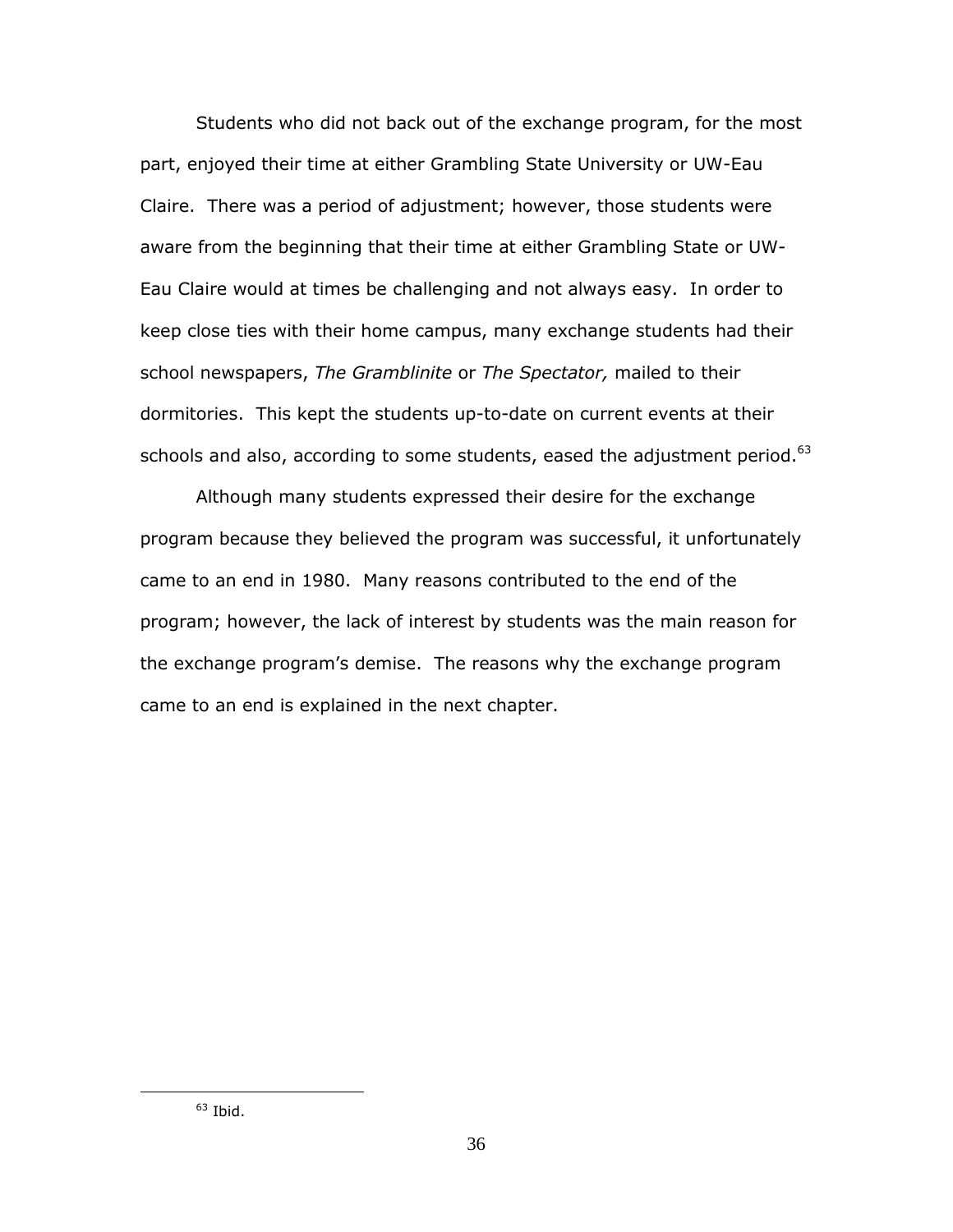Students who did not back out of the exchange program, for the most part, enjoyed their time at either Grambling State University or UW-Eau Claire. There was a period of adjustment; however, those students were aware from the beginning that their time at either Grambling State or UW-Eau Claire would at times be challenging and not always easy. In order to keep close ties with their home campus, many exchange students had their school newspapers, *The Gramblinite* or *The Spectator,* mailed to their dormitories. This kept the students up-to-date on current events at their schools and also, according to some students, eased the adjustment period. $^{63}$ 

Although many students expressed their desire for the exchange program because they believed the program was successful, it unfortunately came to an end in 1980. Many reasons contributed to the end of the program; however, the lack of interest by students was the main reason for the exchange program"s demise. The reasons why the exchange program came to an end is explained in the next chapter.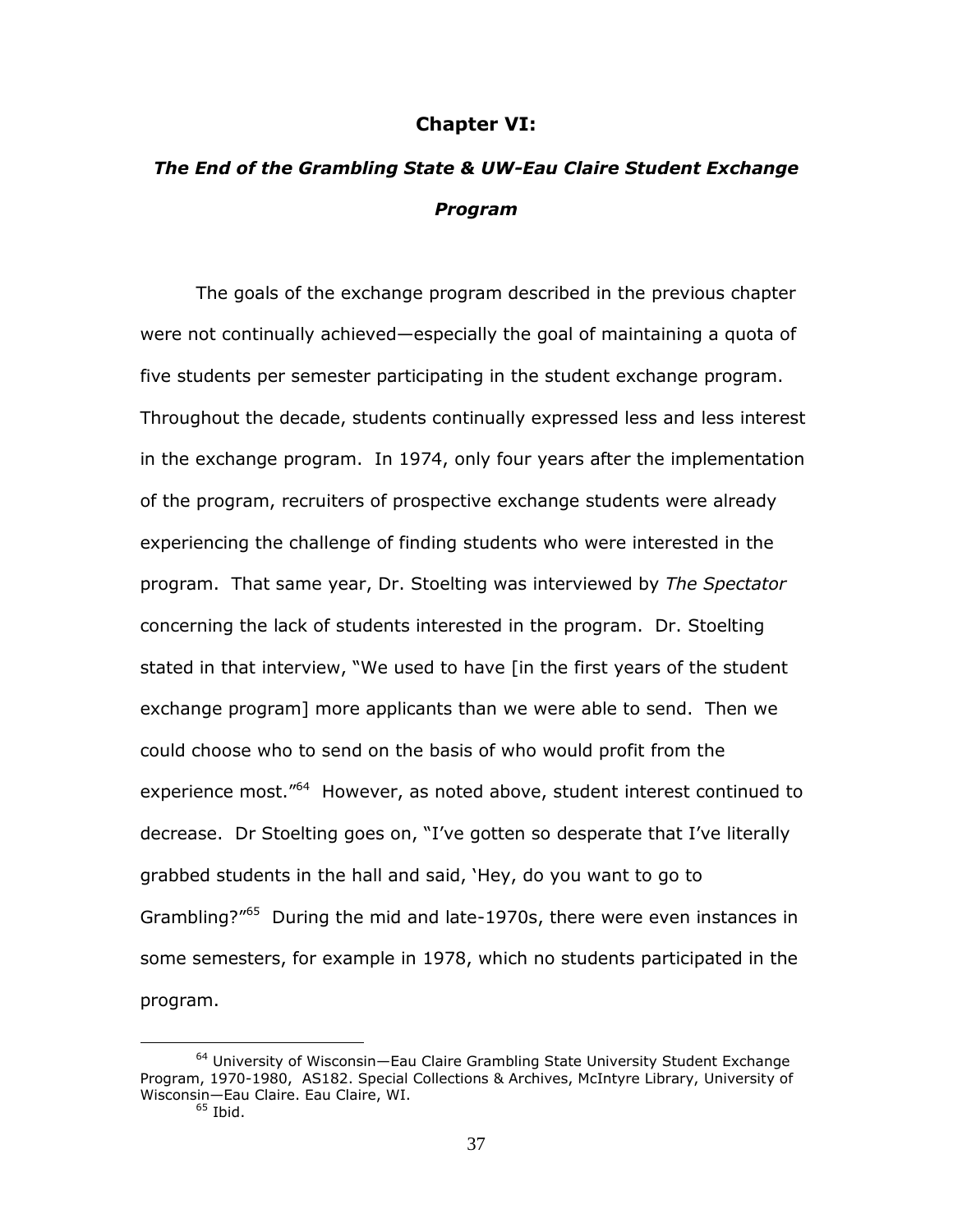### **Chapter VI:**

## *The End of the Grambling State & UW-Eau Claire Student Exchange Program*

The goals of the exchange program described in the previous chapter were not continually achieved—especially the goal of maintaining a quota of five students per semester participating in the student exchange program. Throughout the decade, students continually expressed less and less interest in the exchange program. In 1974, only four years after the implementation of the program, recruiters of prospective exchange students were already experiencing the challenge of finding students who were interested in the program. That same year, Dr. Stoelting was interviewed by *The Spectator* concerning the lack of students interested in the program. Dr. Stoelting stated in that interview, "We used to have [in the first years of the student exchange program] more applicants than we were able to send. Then we could choose who to send on the basis of who would profit from the experience most."<sup>64</sup> However, as noted above, student interest continued to decrease. Dr Stoelting goes on, "I've gotten so desperate that I've literally grabbed students in the hall and said, "Hey, do you want to go to Grambling?"<sup>65</sup> During the mid and late-1970s, there were even instances in some semesters, for example in 1978, which no students participated in the program.

<sup>&</sup>lt;sup>64</sup> University of Wisconsin-Eau Claire Grambling State University Student Exchange Program, 1970-1980, AS182. Special Collections & Archives, McIntyre Library, University of Wisconsin—Eau Claire. Eau Claire, WI.

 $65$  Ibid.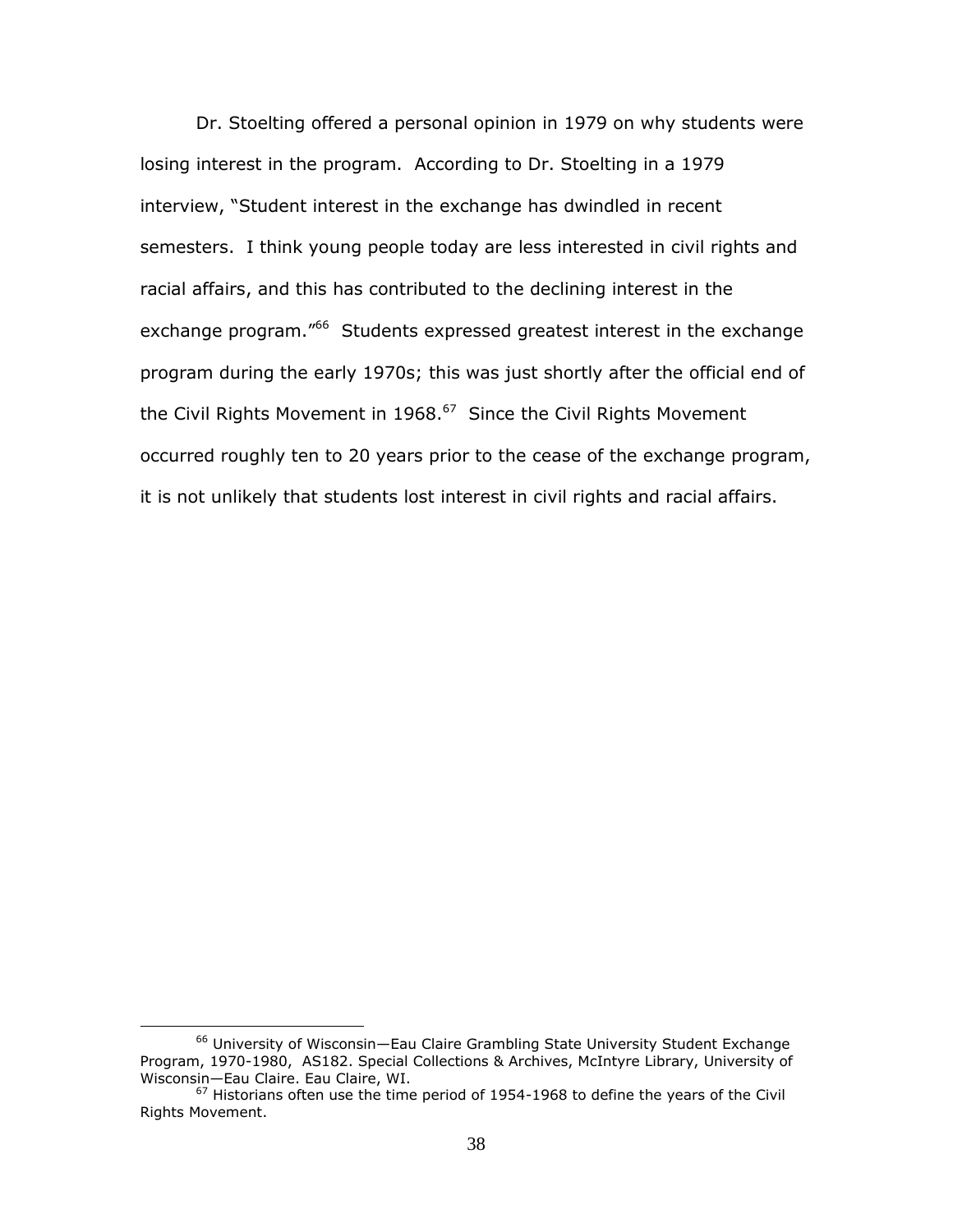Dr. Stoelting offered a personal opinion in 1979 on why students were losing interest in the program. According to Dr. Stoelting in a 1979 interview, "Student interest in the exchange has dwindled in recent semesters. I think young people today are less interested in civil rights and racial affairs, and this has contributed to the declining interest in the exchange program."<sup>66</sup> Students expressed greatest interest in the exchange program during the early 1970s; this was just shortly after the official end of the Civil Rights Movement in 1968. $^{67}$  Since the Civil Rights Movement occurred roughly ten to 20 years prior to the cease of the exchange program, it is not unlikely that students lost interest in civil rights and racial affairs.

<sup>66</sup> University of Wisconsin—Eau Claire Grambling State University Student Exchange Program, 1970-1980, AS182. Special Collections & Archives, McIntyre Library, University of Wisconsin—Eau Claire. Eau Claire, WI.

 $67$  Historians often use the time period of 1954-1968 to define the years of the Civil Rights Movement.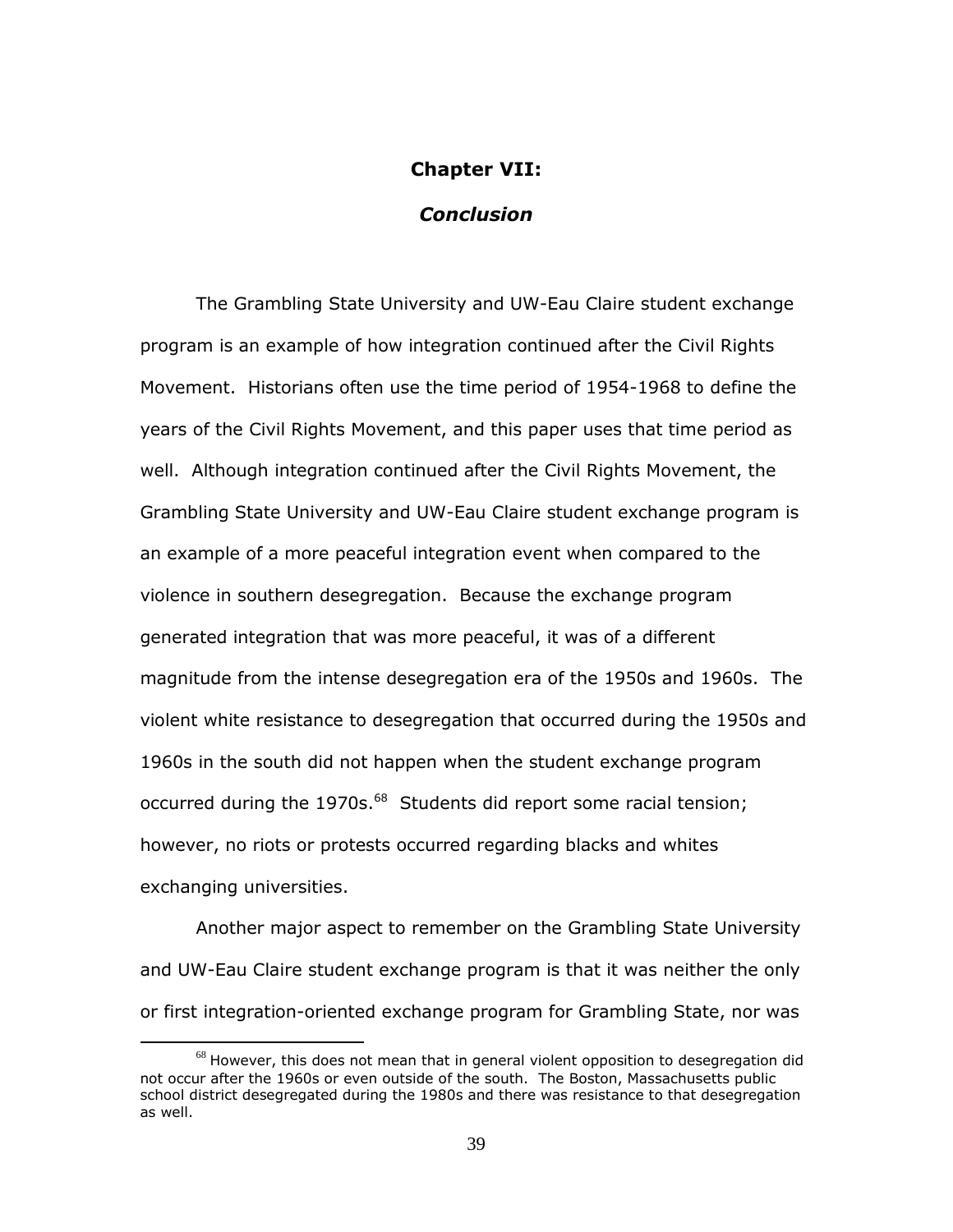### **Chapter VII:**

## *Conclusion*

The Grambling State University and UW-Eau Claire student exchange program is an example of how integration continued after the Civil Rights Movement. Historians often use the time period of 1954-1968 to define the years of the Civil Rights Movement, and this paper uses that time period as well. Although integration continued after the Civil Rights Movement, the Grambling State University and UW-Eau Claire student exchange program is an example of a more peaceful integration event when compared to the violence in southern desegregation. Because the exchange program generated integration that was more peaceful, it was of a different magnitude from the intense desegregation era of the 1950s and 1960s. The violent white resistance to desegregation that occurred during the 1950s and 1960s in the south did not happen when the student exchange program occurred during the 1970s.<sup>68</sup> Students did report some racial tension; however, no riots or protests occurred regarding blacks and whites exchanging universities.

Another major aspect to remember on the Grambling State University and UW-Eau Claire student exchange program is that it was neither the only or first integration-oriented exchange program for Grambling State, nor was

 $68$  However, this does not mean that in general violent opposition to desegregation did not occur after the 1960s or even outside of the south. The Boston, Massachusetts public school district desegregated during the 1980s and there was resistance to that desegregation as well.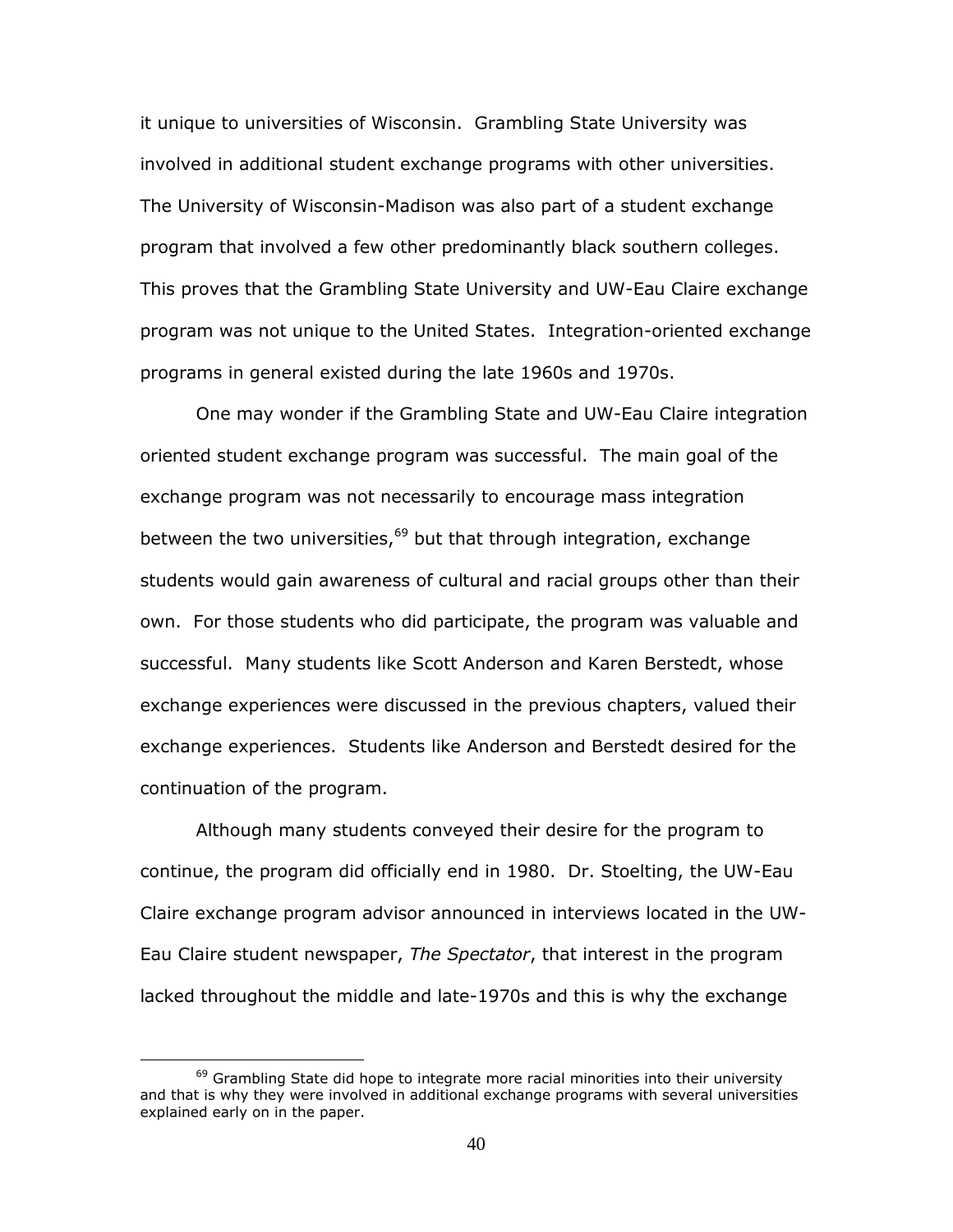it unique to universities of Wisconsin. Grambling State University was involved in additional student exchange programs with other universities. The University of Wisconsin-Madison was also part of a student exchange program that involved a few other predominantly black southern colleges. This proves that the Grambling State University and UW-Eau Claire exchange program was not unique to the United States. Integration-oriented exchange programs in general existed during the late 1960s and 1970s.

One may wonder if the Grambling State and UW-Eau Claire integration oriented student exchange program was successful. The main goal of the exchange program was not necessarily to encourage mass integration between the two universities, $69$  but that through integration, exchange students would gain awareness of cultural and racial groups other than their own. For those students who did participate, the program was valuable and successful. Many students like Scott Anderson and Karen Berstedt, whose exchange experiences were discussed in the previous chapters, valued their exchange experiences. Students like Anderson and Berstedt desired for the continuation of the program.

Although many students conveyed their desire for the program to continue, the program did officially end in 1980. Dr. Stoelting, the UW-Eau Claire exchange program advisor announced in interviews located in the UW-Eau Claire student newspaper, *The Spectator*, that interest in the program lacked throughout the middle and late-1970s and this is why the exchange

 $69$  Grambling State did hope to integrate more racial minorities into their university and that is why they were involved in additional exchange programs with several universities explained early on in the paper.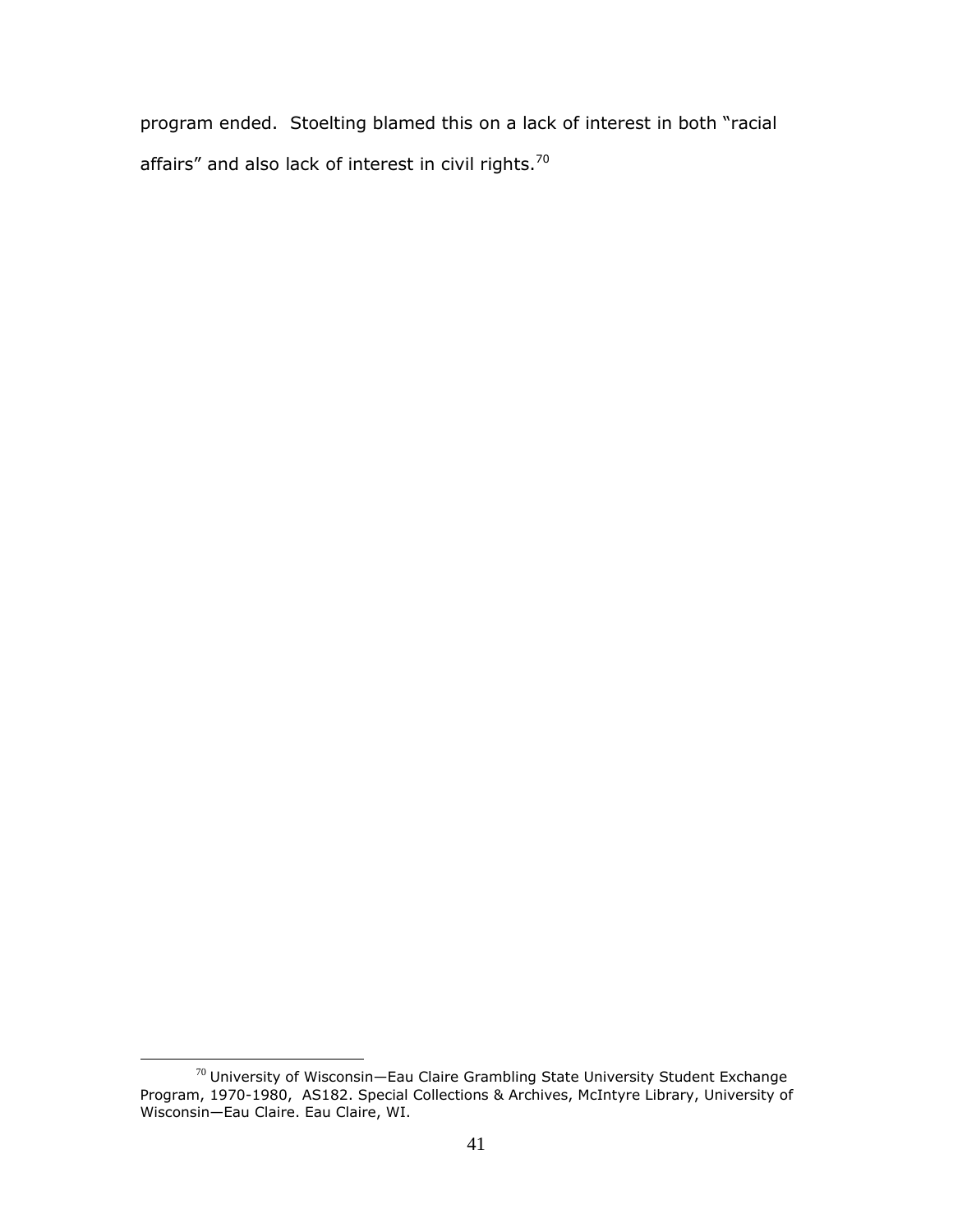program ended. Stoelting blamed this on a lack of interest in both "racial affairs" and also lack of interest in civil rights.<sup>70</sup>

 $\overline{a}$  $^{70}$  University of Wisconsin—Eau Claire Grambling State University Student Exchange Program, 1970-1980, AS182. Special Collections & Archives, McIntyre Library, University of Wisconsin—Eau Claire. Eau Claire, WI.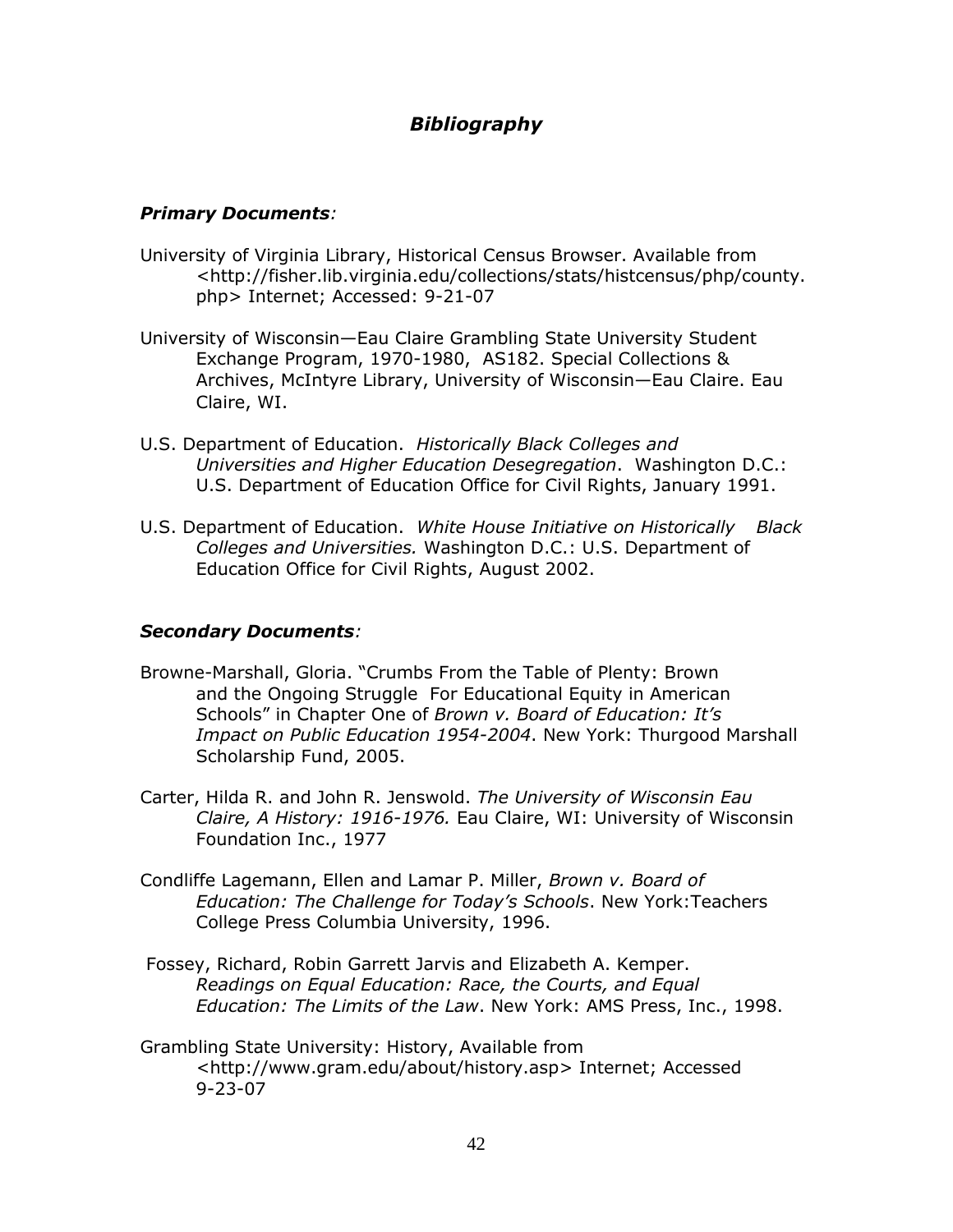## *Bibliography*

## *Primary Documents:*

- University of Virginia Library, Historical Census Browser. Available from <http://fisher.lib.virginia.edu/collections/stats/histcensus/php/county. php> Internet; Accessed: 9-21-07
- University of Wisconsin—Eau Claire Grambling State University Student Exchange Program, 1970-1980, AS182. Special Collections & Archives, McIntyre Library, University of Wisconsin—Eau Claire. Eau Claire, WI.
- U.S. Department of Education. *Historically Black Colleges and Universities and Higher Education Desegregation*. Washington D.C.: U.S. Department of Education Office for Civil Rights, January 1991.
- U.S. Department of Education. *White House Initiative on Historically Black Colleges and Universities.* Washington D.C.: U.S. Department of Education Office for Civil Rights, August 2002.

## *Secondary Documents:*

- Browne-Marshall, Gloria. "Crumbs From the Table of Plenty: Brown and the Ongoing Struggle For Educational Equity in American Schools" in Chapter One of *Brown v. Board of Education: It's Impact on Public Education 1954-2004*. New York: Thurgood Marshall Scholarship Fund, 2005.
- Carter, Hilda R. and John R. Jenswold. *The University of Wisconsin Eau Claire, A History: 1916-1976.* Eau Claire, WI: University of Wisconsin Foundation Inc., 1977
- Condliffe Lagemann, Ellen and Lamar P. Miller, *Brown v. Board of Education: The Challenge for Today's Schools*. New York:Teachers College Press Columbia University, 1996.
- Fossey, Richard, Robin Garrett Jarvis and Elizabeth A. Kemper. *Readings on Equal Education: Race, the Courts, and Equal Education: The Limits of the Law*. New York: AMS Press, Inc., 1998.
- Grambling State University: History, Available from [<http://www.gram.edu/about/history.asp>](http://www.gram.edu/about/history.asp) Internet; Accessed 9-23-07